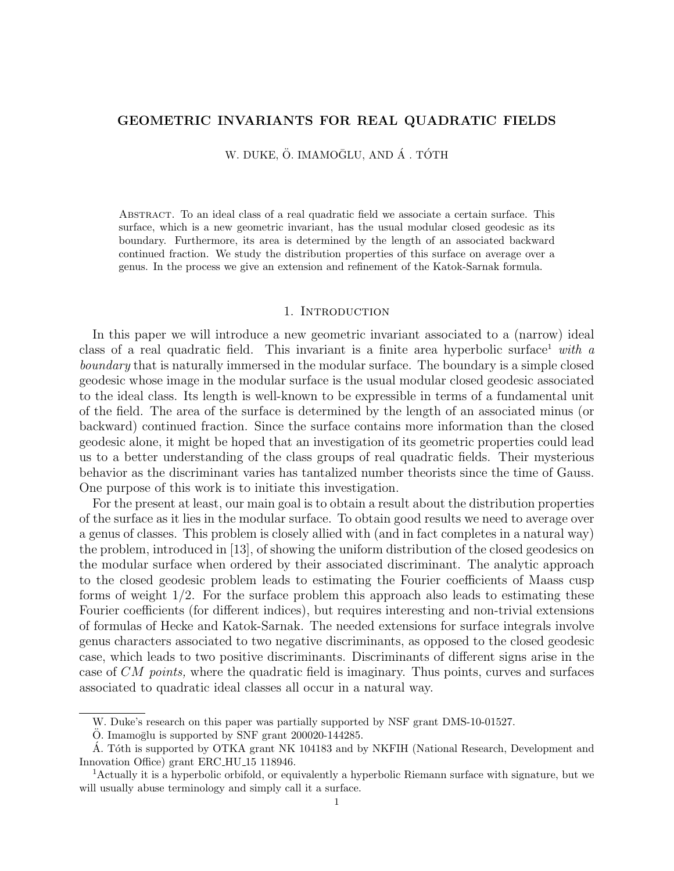# GEOMETRIC INVARIANTS FOR REAL QUADRATIC FIELDS

W. DUKE, Ö. IMAMOĞLU, AND Á . TÓTH

Abstract. To an ideal class of a real quadratic field we associate a certain surface. This surface, which is a new geometric invariant, has the usual modular closed geodesic as its boundary. Furthermore, its area is determined by the length of an associated backward continued fraction. We study the distribution properties of this surface on average over a genus. In the process we give an extension and refinement of the Katok-Sarnak formula.

## 1. INTRODUCTION

In this paper we will introduce a new geometric invariant associated to a (narrow) ideal class of a real quadratic field. This invariant is a finite area hyperbolic surface  $\mu$  with a boundary that is naturally immersed in the modular surface. The boundary is a simple closed geodesic whose image in the modular surface is the usual modular closed geodesic associated to the ideal class. Its length is well-known to be expressible in terms of a fundamental unit of the field. The area of the surface is determined by the length of an associated minus (or backward) continued fraction. Since the surface contains more information than the closed geodesic alone, it might be hoped that an investigation of its geometric properties could lead us to a better understanding of the class groups of real quadratic fields. Their mysterious behavior as the discriminant varies has tantalized number theorists since the time of Gauss. One purpose of this work is to initiate this investigation.

For the present at least, our main goal is to obtain a result about the distribution properties of the surface as it lies in the modular surface. To obtain good results we need to average over a genus of classes. This problem is closely allied with (and in fact completes in a natural way) the problem, introduced in [13], of showing the uniform distribution of the closed geodesics on the modular surface when ordered by their associated discriminant. The analytic approach to the closed geodesic problem leads to estimating the Fourier coefficients of Maass cusp forms of weight 1/2. For the surface problem this approach also leads to estimating these Fourier coefficients (for different indices), but requires interesting and non-trivial extensions of formulas of Hecke and Katok-Sarnak. The needed extensions for surface integrals involve genus characters associated to two negative discriminants, as opposed to the closed geodesic case, which leads to two positive discriminants. Discriminants of different signs arise in the case of CM points, where the quadratic field is imaginary. Thus points, curves and surfaces associated to quadratic ideal classes all occur in a natural way.

W. Duke's research on this paper was partially supported by NSF grant DMS-10-01527.

O. Imamoglu is supported by SNF grant  $200020-144285$ .

A. Tóth is supported by OTKA grant NK 104183 and by NKFIH (National Research, Development and Innovation Office) grant ERC HU 15 118946.

<sup>1</sup>Actually it is a hyperbolic orbifold, or equivalently a hyperbolic Riemann surface with signature, but we will usually abuse terminology and simply call it a surface.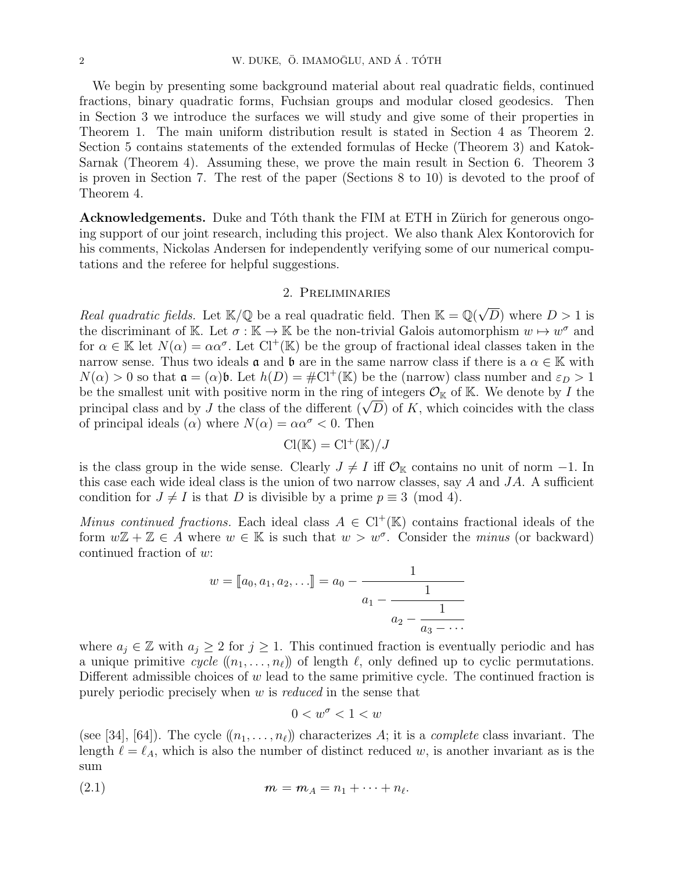We begin by presenting some background material about real quadratic fields, continued fractions, binary quadratic forms, Fuchsian groups and modular closed geodesics. Then in Section 3 we introduce the surfaces we will study and give some of their properties in Theorem 1. The main uniform distribution result is stated in Section 4 as Theorem 2. Section 5 contains statements of the extended formulas of Hecke (Theorem 3) and Katok-Sarnak (Theorem 4). Assuming these, we prove the main result in Section 6. Theorem 3 is proven in Section 7. The rest of the paper (Sections 8 to 10) is devoted to the proof of Theorem 4.

Acknowledgements. Duke and Tóth thank the FIM at ETH in Zürich for generous ongoing support of our joint research, including this project. We also thank Alex Kontorovich for his comments, Nickolas Andersen for independently verifying some of our numerical computations and the referee for helpful suggestions.

## 2. Preliminaries

Real quadratic fields. Let  $\mathbb{K}/\mathbb{Q}$  be a real quadratic field. Then  $\mathbb{K} = \mathbb{Q}(\sqrt{\mathbb{K}})$ D) where  $D > 1$  is the discriminant of K. Let  $\sigma : \mathbb{K} \to \mathbb{K}$  be the non-trivial Galois automorphism  $w \mapsto w^{\sigma}$  and for  $\alpha \in \mathbb{K}$  let  $N(\alpha) = \alpha \alpha^{\sigma}$ . Let  $Cl^+(\mathbb{K})$  be the group of fractional ideal classes taken in the narrow sense. Thus two ideals  $\alpha$  and  $\beta$  are in the same narrow class if there is a  $\alpha \in \mathbb{K}$  with  $N(\alpha) > 0$  so that  $\mathfrak{a} = (\alpha)\mathfrak{b}$ . Let  $h(D) = \# \mathrm{Cl}^+(\mathbb{K})$  be the (narrow) class number and  $\varepsilon_D > 1$ be the smallest unit with positive norm in the ring of integers  $\mathcal{O}_{\mathbb{K}}$  of  $\mathbb{K}$ . We denote by I the be the smallest unit with positive norm in the ring of integers  $\mathcal{O}_{\mathbb{K}}$  of  $\mathbb{K}$ . We denote by *I* the principal class and by *J* the class of the different  $(\sqrt{D})$  of *K*, which coincides with the class of principal ideals ( $\alpha$ ) where  $N(\alpha) = \alpha \alpha^{\sigma} < 0$ . Then

$$
\operatorname{Cl}(\mathbb{K}) = \operatorname{Cl}^+(\mathbb{K})/J
$$

is the class group in the wide sense. Clearly  $J \neq I$  iff  $\mathcal{O}_{\mathbb{K}}$  contains no unit of norm  $-1$ . In this case each wide ideal class is the union of two narrow classes, say  $A$  and  $JA$ . A sufficient condition for  $J \neq I$  is that D is divisible by a prime  $p \equiv 3 \pmod{4}$ .

Minus continued fractions. Each ideal class  $A \in Cl^+(\mathbb{K})$  contains fractional ideals of the form  $w\mathbb{Z} + \mathbb{Z} \in A$  where  $w \in \mathbb{K}$  is such that  $w > w^{\sigma}$ . Consider the *minus* (or backward) continued fraction of w:

$$
w = [a_0, a_1, a_2, \dots] = a_0 - \cfrac{1}{a_1 - \cfrac{1}{a_2 - \cfrac{1}{a_3 - \dotsb}}}
$$

where  $a_j \in \mathbb{Z}$  with  $a_j \geq 2$  for  $j \geq 1$ . This continued fraction is eventually periodic and has a unique primitive cycle  $((n_1, \ldots, n_\ell))$  of length  $\ell$ , only defined up to cyclic permutations. Different admissible choices of  $w$  lead to the same primitive cycle. The continued fraction is purely periodic precisely when  $w$  is *reduced* in the sense that

$$
0
$$

(see [34], [64]). The cycle  $((n_1, \ldots, n_\ell))$  characterizes A; it is a *complete* class invariant. The length  $\ell = \ell_A$ , which is also the number of distinct reduced w, is another invariant as is the sum

(2.1) 
$$
m = m_A = n_1 + \dots + n_\ell.
$$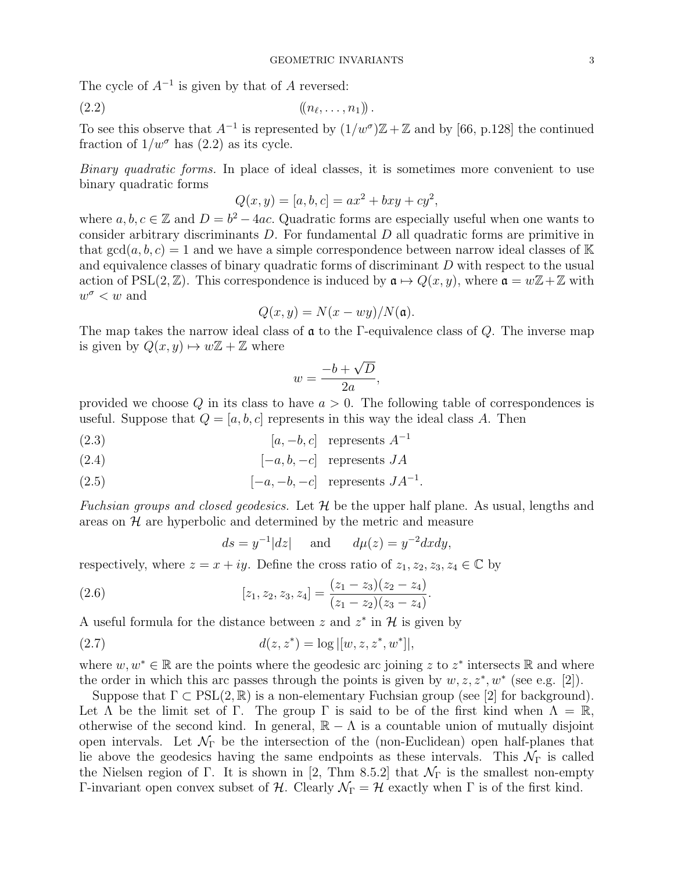The cycle of  $A^{-1}$  is given by that of A reversed:

$$
(2.2) \qquad \qquad ((n_{\ell},\ldots,n_1))\,.
$$

To see this observe that  $A^{-1}$  is represented by  $(1/w^{\sigma})\mathbb{Z}+\mathbb{Z}$  and by [66, p.128] the continued fraction of  $1/w^{\sigma}$  has (2.2) as its cycle.

Binary quadratic forms. In place of ideal classes, it is sometimes more convenient to use binary quadratic forms

$$
Q(x, y) = [a, b, c] = ax^2 + bxy + cy^2,
$$

where  $a, b, c \in \mathbb{Z}$  and  $D = b^2 - 4ac$ . Quadratic forms are especially useful when one wants to consider arbitrary discriminants D. For fundamental D all quadratic forms are primitive in that  $gcd(a, b, c) = 1$  and we have a simple correspondence between narrow ideal classes of K and equivalence classes of binary quadratic forms of discriminant D with respect to the usual action of PSL(2,  $\mathbb{Z}$ ). This correspondence is induced by  $\mathfrak{a} \mapsto Q(x, y)$ , where  $\mathfrak{a} = w\mathbb{Z} + \mathbb{Z}$  with  $w^{\sigma} < w$  and

$$
Q(x, y) = N(x - wy)/N(\mathfrak{a}).
$$

The map takes the narrow ideal class of  $\mathfrak a$  to the Γ-equivalence class of Q. The inverse map is given by  $Q(x, y) \mapsto w\mathbb{Z} + \mathbb{Z}$  where

$$
w = \frac{-b + \sqrt{D}}{2a},
$$

provided we choose  $Q$  in its class to have  $a > 0$ . The following table of correspondences is useful. Suppose that  $Q = [a, b, c]$  represents in this way the ideal class A. Then

$$
[a, -b, c] \quad \text{represents } A^{-1}
$$

$$
[-a, b, -c] \quad \text{represents } JA
$$

$$
[-a, -b, -c] \text{ represents } JA^{-1}.
$$

Fuchsian groups and closed geodesics. Let  $H$  be the upper half plane. As usual, lengths and areas on  $\mathcal H$  are hyperbolic and determined by the metric and measure

$$
ds = y^{-1}|dz|
$$
 and  $d\mu(z) = y^{-2}dxdy$ ,

respectively, where  $z = x + iy$ . Define the cross ratio of  $z_1, z_2, z_3, z_4 \in \mathbb{C}$  by

(2.6) 
$$
[z_1, z_2, z_3, z_4] = \frac{(z_1 - z_3)(z_2 - z_4)}{(z_1 - z_2)(z_3 - z_4)}.
$$

A useful formula for the distance between z and  $z^*$  in  $\mathcal H$  is given by

(2.7) 
$$
d(z, z^*) = \log |[w, z, z^*, w^*]|,
$$

where  $w, w^* \in \mathbb{R}$  are the points where the geodesic arc joining z to  $z^*$  intersects  $\mathbb{R}$  and where the order in which this arc passes through the points is given by  $w, z, z^*, w^*$  (see e.g. [2]).

Suppose that  $\Gamma \subset \text{PSL}(2,\mathbb{R})$  is a non-elementary Fuchsian group (see [2] for background). Let  $\Lambda$  be the limit set of Γ. The group Γ is said to be of the first kind when  $\Lambda = \mathbb{R}$ , otherwise of the second kind. In general,  $\mathbb{R} - \Lambda$  is a countable union of mutually disjoint open intervals. Let  $\mathcal{N}_{\Gamma}$  be the intersection of the (non-Euclidean) open half-planes that lie above the geodesics having the same endpoints as these intervals. This  $\mathcal{N}_{\Gamma}$  is called the Nielsen region of Γ. It is shown in [2, Thm 8.5.2] that  $\mathcal{N}_{\Gamma}$  is the smallest non-empty Γ-invariant open convex subset of *H*. Clearly  $\mathcal{N}_{\Gamma} = \mathcal{H}$  exactly when Γ is of the first kind.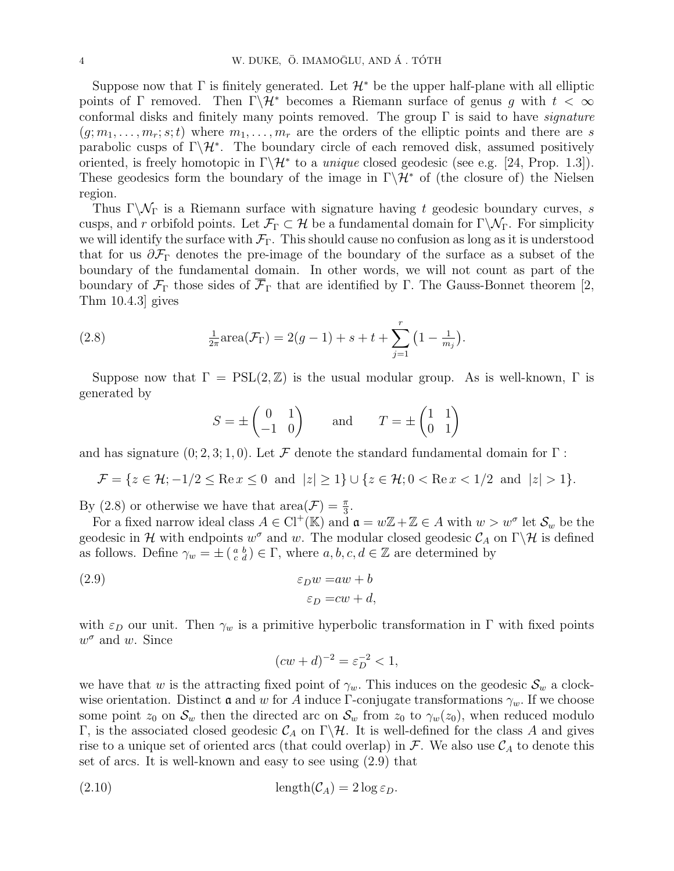Suppose now that  $\Gamma$  is finitely generated. Let  $\mathcal{H}^*$  be the upper half-plane with all elliptic points of  $\Gamma$  removed. Then  $\Gamma\backslash\mathcal{H}^*$  becomes a Riemann surface of genus g with  $t < \infty$ conformal disks and finitely many points removed. The group  $\Gamma$  is said to have *signature*  $(g; m_1, \ldots, m_r; s; t)$  where  $m_1, \ldots, m_r$  are the orders of the elliptic points and there are s parabolic cusps of  $\Gamma \backslash \mathcal{H}^*$ . The boundary circle of each removed disk, assumed positively oriented, is freely homotopic in  $\Gamma \backslash \mathcal{H}^*$  to a *unique* closed geodesic (see e.g. [24, Prop. 1.3]). These geodesics form the boundary of the image in  $\Gamma \backslash \mathcal{H}^*$  of (the closure of) the Nielsen region.

Thus Γ $\setminus \mathcal{N}_{\Gamma}$  is a Riemann surface with signature having t geodesic boundary curves, s cusps, and r orbifold points. Let  $\mathcal{F}_{\Gamma} \subset \mathcal{H}$  be a fundamental domain for  $\Gamma \backslash \mathcal{N}_{\Gamma}$ . For simplicity we will identify the surface with  $\mathcal{F}_{\Gamma}$ . This should cause no confusion as long as it is understood that for us  $\partial \mathcal{F}_{\Gamma}$  denotes the pre-image of the boundary of the surface as a subset of the boundary of the fundamental domain. In other words, we will not count as part of the boundary of  $\mathcal{F}_{\Gamma}$  those sides of  $\overline{\mathcal{F}}_{\Gamma}$  that are identified by Γ. The Gauss-Bonnet theorem [2, Thm 10.4.3] gives

(2.8) 
$$
\frac{1}{2\pi}\text{area}(\mathcal{F}_{\Gamma}) = 2(g-1) + s + t + \sum_{j=1}^{r} \left(1 - \frac{1}{m_j}\right).
$$

Suppose now that  $\Gamma = \text{PSL}(2, \mathbb{Z})$  is the usual modular group. As is well-known,  $\Gamma$  is generated by

$$
S = \pm \begin{pmatrix} 0 & 1 \\ -1 & 0 \end{pmatrix} \quad \text{and} \quad T = \pm \begin{pmatrix} 1 & 1 \\ 0 & 1 \end{pmatrix}
$$

and has signature  $(0; 2, 3; 1, 0)$ . Let F denote the standard fundamental domain for  $\Gamma$ :

$$
\mathcal{F} = \{ z \in \mathcal{H}; -1/2 \leq \text{Re} \, x \leq 0 \, \text{ and } \, |z| \geq 1 \} \cup \{ z \in \mathcal{H}; 0 < \text{Re} \, x < 1/2 \, \text{ and } \, |z| > 1 \}.
$$

By (2.8) or otherwise we have that  $area(\mathcal{F}) = \frac{\pi}{3}$ .

For a fixed narrow ideal class  $A \in Cl^+(\mathbb{K})$  and  $\mathfrak{a} = w\mathbb{Z} + \mathbb{Z} \in A$  with  $w > w^{\sigma}$  let  $\mathcal{S}_w$  be the geodesic in H with endpoints  $w^{\sigma}$  and w. The modular closed geodesic  $\mathcal{C}_A$  on  $\Gamma\backslash\mathcal{H}$  is defined as follows. Define  $\gamma_w = \pm \left( \begin{smallmatrix} a & b \\ c & d \end{smallmatrix} \right) \in \Gamma$ , where  $a, b, c, d \in \mathbb{Z}$  are determined by

(2.9) 
$$
\varepsilon_D w = aw + b
$$

$$
\varepsilon_D = cw + d,
$$

with  $\varepsilon_D$  our unit. Then  $\gamma_w$  is a primitive hyperbolic transformation in Γ with fixed points  $w^{\sigma}$  and w. Since

$$
(cw + d)^{-2} = \varepsilon_D^{-2} < 1,
$$

we have that w is the attracting fixed point of  $\gamma_w$ . This induces on the geodesic  $\mathcal{S}_w$  a clockwise orientation. Distinct **a** and w for A induce Γ-conjugate transformations  $\gamma_w$ . If we choose some point  $z_0$  on  $\mathcal{S}_w$  then the directed arc on  $\mathcal{S}_w$  from  $z_0$  to  $\gamma_w(z_0)$ , when reduced modulo Γ, is the associated closed geodesic  $C_A$  on Γ $\mathcal{H}$ . It is well-defined for the class A and gives rise to a unique set of oriented arcs (that could overlap) in  $\mathcal F$ . We also use  $\mathcal C_A$  to denote this set of arcs. It is well-known and easy to see using (2.9) that

(2.10) length(CA) = 2 log εD.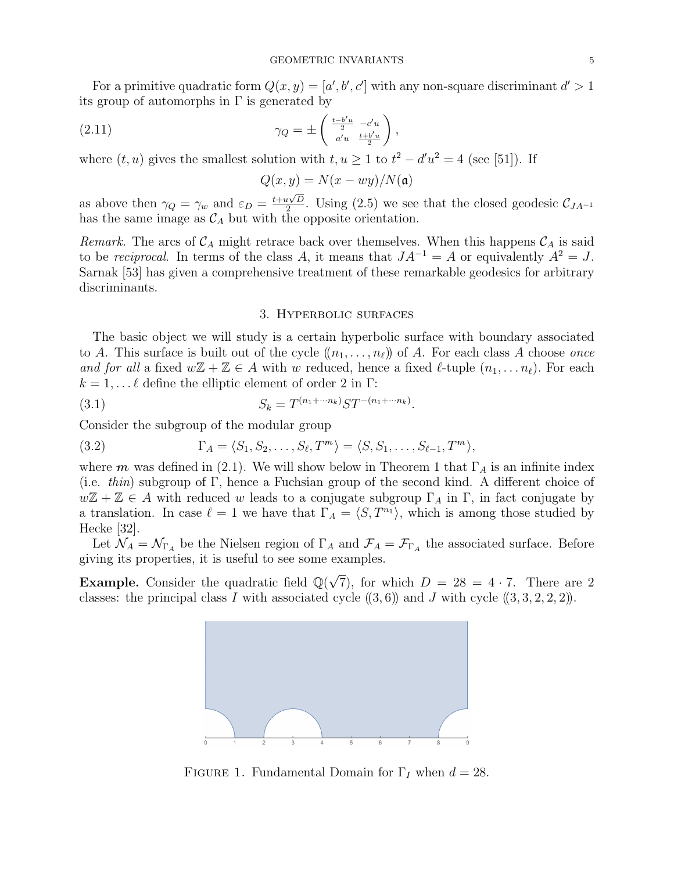For a primitive quadratic form  $Q(x, y) = [a', b', c']$  with any non-square discriminant  $d' > 1$ its group of automorphs in  $\Gamma$  is generated by

$$
\gamma_Q = \pm \begin{pmatrix} \frac{t - b'u}{2} & -c'u \\ a'u & \frac{t + b'u}{2} \end{pmatrix},
$$

where  $(t, u)$  gives the smallest solution with  $t, u \ge 1$  to  $t^2 - d'u^2 = 4$  (see [51]). If

$$
Q(x, y) = N(x - wy)/N(\mathfrak{a})
$$

as above then  $\gamma_Q = \gamma_w$  and  $\varepsilon_D = \frac{t + u\sqrt{D}}{2}$  $\frac{\mu\sqrt{D}}{2}$ . Using (2.5) we see that the closed geodesic  $\mathcal{C}_{JA^{-1}}$ has the same image as  $\mathcal{C}_A$  but with the opposite orientation.

Remark. The arcs of  $\mathcal{C}_A$  might retrace back over themselves. When this happens  $\mathcal{C}_A$  is said to be reciprocal. In terms of the class A, it means that  $JA^{-1} = A$  or equivalently  $A^2 = J$ . Sarnak [53] has given a comprehensive treatment of these remarkable geodesics for arbitrary discriminants.

## 3. Hyperbolic surfaces

The basic object we will study is a certain hyperbolic surface with boundary associated to A. This surface is built out of the cycle  $((n_1, \ldots, n_\ell))$  of A. For each class A choose once and for all a fixed  $w\mathbb{Z} + \mathbb{Z} \in A$  with w reduced, hence a fixed  $\ell$ -tuple  $(n_1, \ldots n_\ell)$ . For each  $k = 1, \ldots \ell$  define the elliptic element of order 2 in Γ:

(3.1) 
$$
S_k = T^{(n_1 + \cdots n_k)} ST^{-(n_1 + \cdots n_k)}.
$$

Consider the subgroup of the modular group

(3.2) 
$$
\Gamma_A = \langle S_1, S_2, \dots, S_\ell, T^m \rangle = \langle S, S_1, \dots, S_{\ell-1}, T^m \rangle,
$$

where m was defined in (2.1). We will show below in Theorem 1 that  $\Gamma_A$  is an infinite index (i.e. thin) subgroup of Γ, hence a Fuchsian group of the second kind. A different choice of  $w\mathbb{Z} + \mathbb{Z} \in A$  with reduced w leads to a conjugate subgroup  $\Gamma_A$  in  $\Gamma$ , in fact conjugate by a translation. In case  $\ell = 1$  we have that  $\Gamma_A = \langle S, T^{n_1} \rangle$ , which is among those studied by Hecke [32].

Let  $\mathcal{N}_A = \mathcal{N}_{\Gamma_A}$  be the Nielsen region of  $\Gamma_A$  and  $\mathcal{F}_A = \mathcal{F}_{\Gamma_A}$  the associated surface. Before giving its properties, it is useful to see some examples.

Example. Consider the quadratic field  $\mathbb{Q}(\sqrt{\frac{2}{\pi}})$ 7), for which  $D = 28 = 4 \cdot 7$ . There are 2 classes: the principal class I with associated cycle  $(3,6)$  and J with cycle  $(3,3,2,2,2)$ .



FIGURE 1. Fundamental Domain for  $\Gamma_I$  when  $d = 28$ .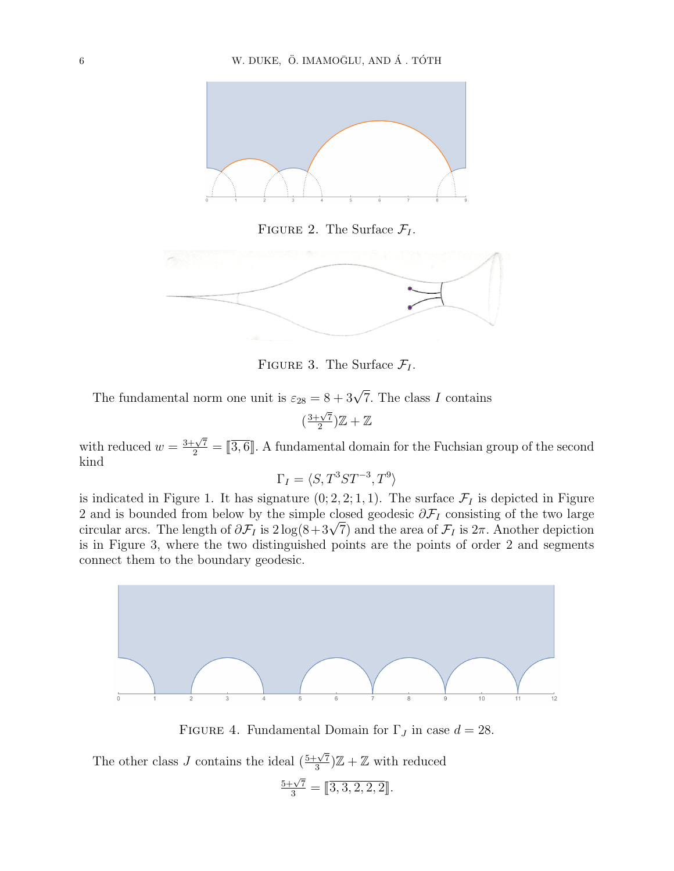

FIGURE 2. The Surface  $\mathcal{F}_I$ .



FIGURE 3. The Surface  $\mathcal{F}_I$ .

The fundamental norm one unit is  $\varepsilon_{28} = 8 + 3\sqrt{7}$ . The class I contains

 $\left(\frac{3+\sqrt{7}}{2}\right)$  $\frac{1-\sqrt{7}}{2})\mathbb{Z}+\mathbb{Z}$ 

with reduced  $w = \frac{3+\sqrt{7}}{2} = [\overline{3,6}]$ . A fundamental domain for the Fuchsian group of the second kind

$$
\Gamma_I = \langle S, T^3 S T^{-3}, T^9 \rangle
$$

is indicated in Figure 1. It has signature  $(0; 2, 2; 1, 1)$ . The surface  $\mathcal{F}_I$  is depicted in Figure 2 and is bounded from below by the simple closed geodesic  $\partial \mathcal{F}_I$  consisting of the two large z and is bounded from below by the simple closed geodesic  $\partial \mathcal{F}_I$  consisting of the two large circular arcs. The length of  $\partial \mathcal{F}_I$  is  $2 \log(8 + 3\sqrt{7})$  and the area of  $\mathcal{F}_I$  is  $2\pi$ . Another depiction is in Figure 3, where the two distinguished points are the points of order 2 and segments connect them to the boundary geodesic.



FIGURE 4. Fundamental Domain for  $\Gamma_J$  in case  $d = 28$ .

The other class J contains the ideal  $\left(\frac{5+\sqrt{7}}{3}\right)$  $\frac{1}{3}\sqrt{7}}\mathbb{Z}+\mathbb{Z}$  with reduced  $\frac{5+\sqrt{7}}{3} = [\overline{3,3,2,2,2}]$ .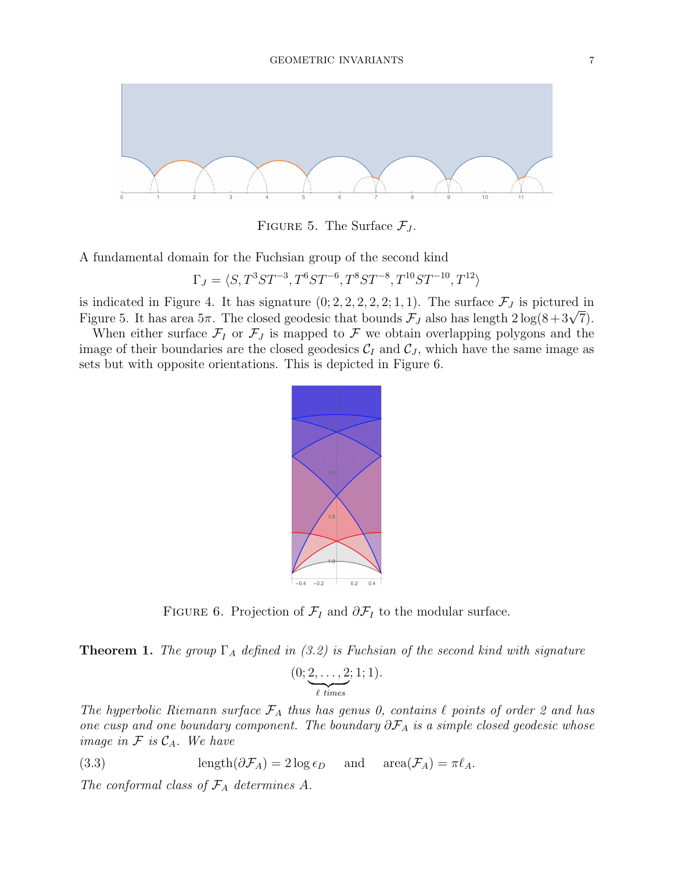

FIGURE 5. The Surface  $\mathcal{F}_J$ .

A fundamental domain for the Fuchsian group of the second kind

 $\Gamma_J = \langle S, T^3ST^{-3}, T^6ST^{-6}, T^8ST^{-8}, T^{10}ST^{-10}, T^{12} \rangle$ 

is indicated in Figure 4. It has signature  $(0; 2, 2, 2, 2, 2, 1, 1)$ . The surface  $\mathcal{F}_J$  is pictured in is indicated in Figure 4. It has signature (0; 2, 2, 2, 2, 2; 1, 1). The surface  $\mathcal{F}_J$  is pictured in<br>Figure 5. It has area 5π. The closed geodesic that bounds  $\mathcal{F}_J$  also has length  $2\log(8+3\sqrt{7})$ .

When either surface  $\mathcal{F}_I$  or  $\mathcal{F}_J$  is mapped to  $\mathcal F$  we obtain overlapping polygons and the image of their boundaries are the closed geodesics  $\mathcal{C}_I$  and  $\mathcal{C}_J$ , which have the same image as sets but with opposite orientations. This is depicted in Figure 6.



FIGURE 6. Projection of  $\mathcal{F}_I$  and  $\partial \mathcal{F}_I$  to the modular surface.

**Theorem 1.** The group  $\Gamma_A$  defined in (3.2) is Fuchsian of the second kind with signature

$$
(0; \underbrace{2, \ldots, 2}_{\ell \ times}; 1; 1).
$$

The hyperbolic Riemann surface  $\mathcal{F}_A$  thus has genus 0, contains  $\ell$  points of order 2 and has one cusp and one boundary component. The boundary  $\partial \mathcal{F}_A$  is a simple closed geodesic whose image in  $\mathcal F$  is  $\mathcal C_A$ . We have

(3.3) 
$$
\operatorname{length}(\partial \mathcal{F}_A) = 2 \log \epsilon_D \quad \text{and} \quad \operatorname{area}(\mathcal{F}_A) = \pi \ell_A.
$$

The conformal class of  $\mathcal{F}_A$  determines A.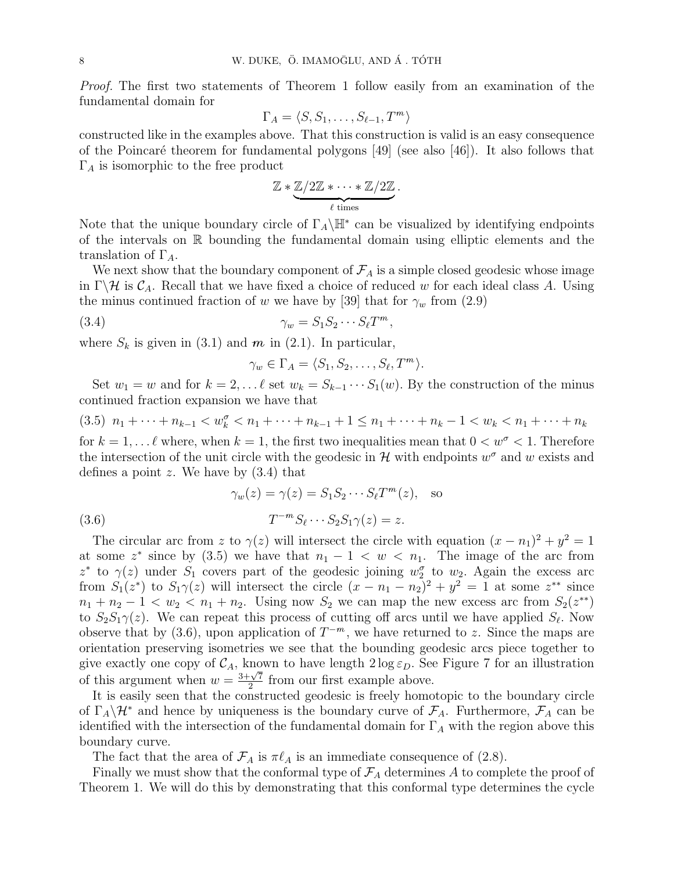Proof. The first two statements of Theorem 1 follow easily from an examination of the fundamental domain for

$$
\Gamma_A = \langle S, S_1, \dots, S_{\ell-1}, T^m \rangle
$$

constructed like in the examples above. That this construction is valid is an easy consequence of the Poincaré theorem for fundamental polygons [49] (see also [46]). It also follows that  $\Gamma_A$  is isomorphic to the free product

$$
\mathbb{Z} * \underbrace{\mathbb{Z}/2\mathbb{Z} * \cdots * \mathbb{Z}/2\mathbb{Z}}_{\ell \text{ times}}
$$

.

Note that the unique boundary circle of  $\Gamma_A \backslash \mathbb{H}^*$  can be visualized by identifying endpoints of the intervals on  $\mathbb R$  bounding the fundamental domain using elliptic elements and the translation of  $\Gamma_A$ .

We next show that the boundary component of  $\mathcal{F}_A$  is a simple closed geodesic whose image in  $\Gamma \backslash \mathcal{H}$  is  $\mathcal{C}_A$ . Recall that we have fixed a choice of reduced w for each ideal class A. Using the minus continued fraction of w we have by [39] that for  $\gamma_w$  from (2.9)

$$
\gamma_w = S_1 S_2 \cdots S_\ell T^m,
$$

where  $S_k$  is given in (3.1) and m in (2.1). In particular,

$$
\gamma_w \in \Gamma_A = \langle S_1, S_2, \dots, S_\ell, T^m \rangle.
$$

Set  $w_1 = w$  and for  $k = 2, \ldots \ell$  set  $w_k = S_{k-1} \cdots S_1(w)$ . By the construction of the minus continued fraction expansion we have that

$$
(3.5) n_1 + \dots + n_{k-1} < w_k^{\sigma} < n_1 + \dots + n_{k-1} + 1 \le n_1 + \dots + n_k - 1 < w_k < n_1 + \dots + n_k
$$

for  $k = 1, \ldots \ell$  where, when  $k = 1$ , the first two inequalities mean that  $0 < w^{\sigma} < 1$ . Therefore the intersection of the unit circle with the geodesic in  $\mathcal H$  with endpoints  $w^{\sigma}$  and w exists and defines a point z. We have by  $(3.4)$  that

(3.6) 
$$
\gamma_w(z) = \gamma(z) = S_1 S_2 \cdots S_\ell T^m(z), \text{ so}
$$

$$
T^{-m} S_\ell \cdots S_2 S_1 \gamma(z) = z.
$$

The circular arc from z to  $\gamma(z)$  will intersect the circle with equation  $(x - n_1)^2 + y^2 = 1$ at some  $z^*$  since by (3.5) we have that  $n_1 - 1 < w < n_1$ . The image of the arc from z<sup>\*</sup> to  $\gamma(z)$  under  $S_1$  covers part of the geodesic joining  $w_2^{\sigma}$  to  $w_2$ . Again the excess arc from  $S_1(z^*)$  to  $S_1\gamma(z)$  will intersect the circle  $(x - n_1 - n_2)^2 + y^2 = 1$  at some  $z^{**}$  since  $n_1 + n_2 - 1 < w_2 < n_1 + n_2$ . Using now  $S_2$  we can map the new excess arc from  $S_2(z^{**})$ to  $S_2S_1\gamma(z)$ . We can repeat this process of cutting off arcs until we have applied  $S_\ell$ . Now observe that by (3.6), upon application of  $T^{-m}$ , we have returned to z. Since the maps are orientation preserving isometries we see that the bounding geodesic arcs piece together to give exactly one copy of  $C_A$ , known to have length  $2 \log \varepsilon_D$ . See Figure 7 for an illustration give exactly one copy of  $C_A$ , know<br>of this argument when  $w = \frac{3+\sqrt{7}}{2}$  $\frac{2}{2}$  from our first example above.

It is easily seen that the constructed geodesic is freely homotopic to the boundary circle of  $\Gamma_A\backslash\mathcal{H}^*$  and hence by uniqueness is the boundary curve of  $\mathcal{F}_A$ . Furthermore,  $\mathcal{F}_A$  can be identified with the intersection of the fundamental domain for  $\Gamma_A$  with the region above this boundary curve.

The fact that the area of  $\mathcal{F}_A$  is  $\pi\ell_A$  is an immediate consequence of (2.8).

Finally we must show that the conformal type of  $\mathcal{F}_A$  determines A to complete the proof of Theorem 1. We will do this by demonstrating that this conformal type determines the cycle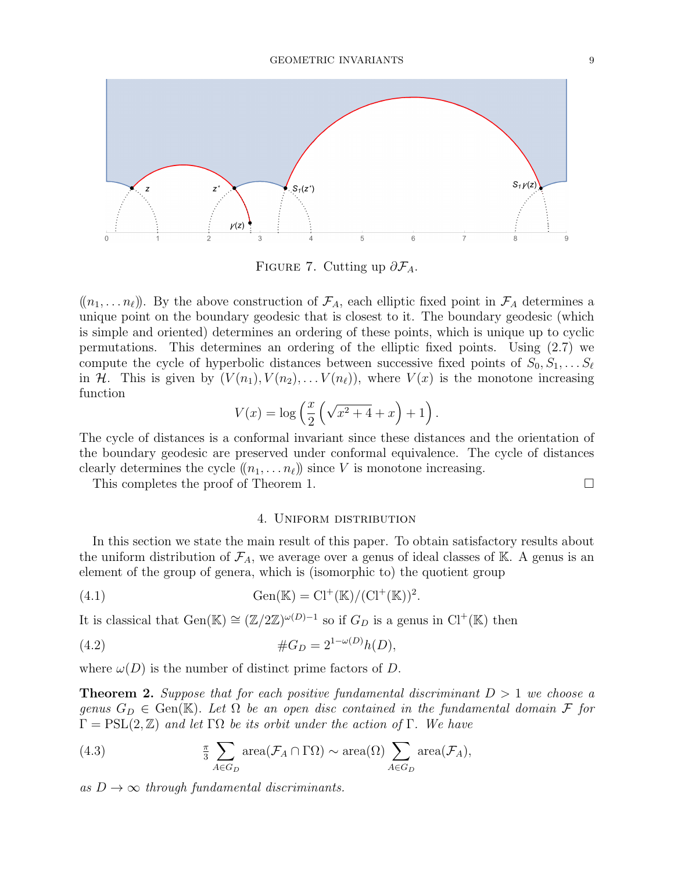

FIGURE 7. Cutting up  $\partial \mathcal{F}_A$ .

 $((n_1, \ldots n_\ell))$ . By the above construction of  $\mathcal{F}_A$ , each elliptic fixed point in  $\mathcal{F}_A$  determines a unique point on the boundary geodesic that is closest to it. The boundary geodesic (which is simple and oriented) determines an ordering of these points, which is unique up to cyclic permutations. This determines an ordering of the elliptic fixed points. Using (2.7) we compute the cycle of hyperbolic distances between successive fixed points of  $S_0, S_1, \ldots S_\ell$ in H. This is given by  $(V(n_1), V(n_2), \ldots V(n_\ell))$ , where  $V(x)$  is the monotone increasing function

$$
V(x) = \log\left(\frac{x}{2}\left(\sqrt{x^2+4}+x\right)+1\right).
$$

The cycle of distances is a conformal invariant since these distances and the orientation of the boundary geodesic are preserved under conformal equivalence. The cycle of distances clearly determines the cycle  $((n_1, \ldots n_\ell))$  since V is monotone increasing.

This completes the proof of Theorem 1.

## 4. Uniform distribution

In this section we state the main result of this paper. To obtain satisfactory results about the uniform distribution of  $\mathcal{F}_A$ , we average over a genus of ideal classes of K. A genus is an element of the group of genera, which is (isomorphic to) the quotient group

(4.1) 
$$
Gen(\mathbb{K}) = Cl^{+}(\mathbb{K})/(Cl^{+}(\mathbb{K}))^{2}.
$$

It is classical that  $Gen(\mathbb{K}) \cong (\mathbb{Z}/2\mathbb{Z})^{\omega(D)-1}$  so if  $G_D$  is a genus in  $Cl^+(\mathbb{K})$  then

(4.2) 
$$
\#G_D = 2^{1-\omega(D)}h(D),
$$

where  $\omega(D)$  is the number of distinct prime factors of D.

**Theorem 2.** Suppose that for each positive fundamental discriminant  $D > 1$  we choose a genus  $G_D \in \text{Gen}(\mathbb{K})$ . Let  $\Omega$  be an open disc contained in the fundamental domain F for  $\Gamma = \text{PSL}(2, \mathbb{Z})$  and let  $\Gamma \Omega$  be its orbit under the action of  $\Gamma$ . We have

(4.3) 
$$
\frac{\pi}{3} \sum_{A \in G_D} \text{area}(\mathcal{F}_A \cap \Gamma \Omega) \sim \text{area}(\Omega) \sum_{A \in G_D} \text{area}(\mathcal{F}_A),
$$

as  $D \rightarrow \infty$  through fundamental discriminants.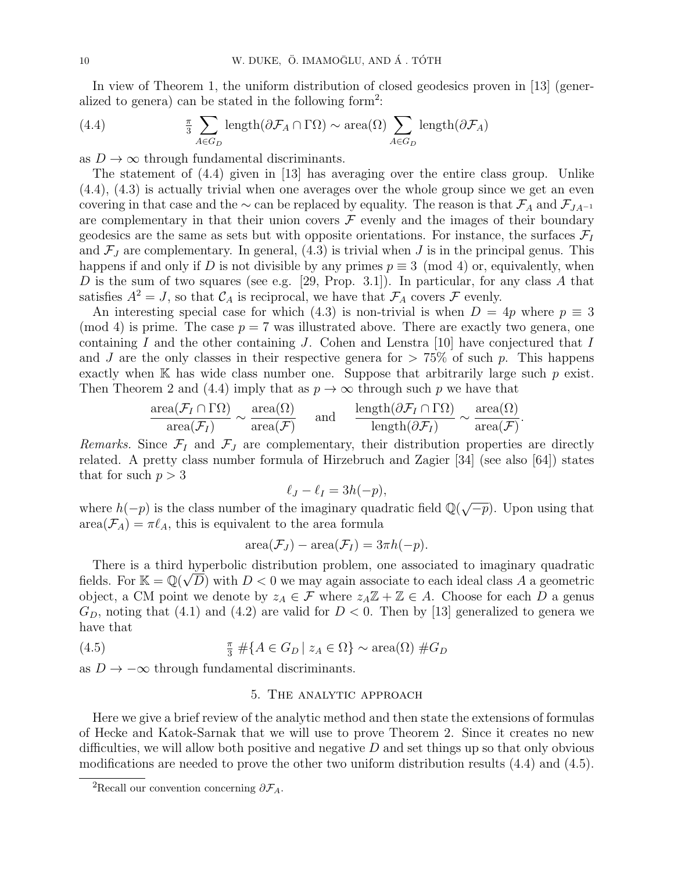In view of Theorem 1, the uniform distribution of closed geodesics proven in [13] (generalized to genera) can be stated in the following form<sup>2</sup>:

(4.4) 
$$
\frac{\pi}{3} \sum_{A \in G_D} \text{length}(\partial \mathcal{F}_A \cap \Gamma \Omega) \sim \text{area}(\Omega) \sum_{A \in G_D} \text{length}(\partial \mathcal{F}_A)
$$

as  $D \to \infty$  through fundamental discriminants.

The statement of (4.4) given in [13] has averaging over the entire class group. Unlike (4.4), (4.3) is actually trivial when one averages over the whole group since we get an even covering in that case and the  $\sim$  can be replaced by equality. The reason is that  $\mathcal{F}_A$  and  $\mathcal{F}_{JA^{-1}}$ are complementary in that their union covers  $\mathcal F$  evenly and the images of their boundary geodesics are the same as sets but with opposite orientations. For instance, the surfaces  $\mathcal{F}_{I}$ and  $\mathcal{F}_J$  are complementary. In general, (4.3) is trivial when J is in the principal genus. This happens if and only if D is not divisible by any primes  $p \equiv 3 \pmod{4}$  or, equivalently, when  $D$  is the sum of two squares (see e.g. [29, Prop. 3.1]). In particular, for any class  $A$  that satisfies  $A^2 = J$ , so that  $\mathcal{C}_A$  is reciprocal, we have that  $\mathcal{F}_A$  covers  $\mathcal F$  evenly.

An interesting special case for which (4.3) is non-trivial is when  $D = 4p$  where  $p \equiv 3$ (mod 4) is prime. The case  $p = 7$  was illustrated above. There are exactly two genera, one containing I and the other containing J. Cohen and Lenstra  $[10]$  have conjectured that I and J are the only classes in their respective genera for  $> 75\%$  of such p. This happens exactly when  $\mathbb K$  has wide class number one. Suppose that arbitrarily large such p exist. Then Theorem 2 and (4.4) imply that as  $p \to \infty$  through such p we have that

$$
\frac{\text{area}(\mathcal{F}_I \cap \Gamma \Omega)}{\text{area}(\mathcal{F}_I)} \sim \frac{\text{area}(\Omega)}{\text{area}(\mathcal{F})} \quad \text{and} \quad \frac{\text{length}(\partial \mathcal{F}_I \cap \Gamma \Omega)}{\text{length}(\partial \mathcal{F}_I)} \sim \frac{\text{area}(\Omega)}{\text{area}(\mathcal{F})}
$$

.

Remarks. Since  $\mathcal{F}_I$  and  $\mathcal{F}_J$  are complementary, their distribution properties are directly related. A pretty class number formula of Hirzebruch and Zagier [34] (see also [64]) states that for such  $p > 3$ 

$$
\ell_J - \ell_I = 3h(-p),
$$

where  $h(-p)$  is the class number of the imaginary quadratic field  $\mathbb{Q}(\sqrt{\mathbb{Z}})$  $\overline{-p}$ ). Upon using that  $area(\mathcal{F}_A) = \pi \ell_A$ , this is equivalent to the area formula

$$
\operatorname{area}(\mathcal{F}_J) - \operatorname{area}(\mathcal{F}_I) = 3\pi h(-p).
$$

There is a third hyperbolic distribution problem, one associated to imaginary quadratic fields. For  $\mathbb{K} = \mathbb{Q}(\sqrt{D})$  with  $D < 0$  we may again associate to each ideal class A a geometric object, a CM point we denote by  $z_A \in \mathcal{F}$  where  $z_A \mathbb{Z} + \mathbb{Z} \in A$ . Choose for each D a genus  $G_D$ , noting that (4.1) and (4.2) are valid for  $D < 0$ . Then by [13] generalized to genera we have that

(4.5) 
$$
\frac{\pi}{3} \# \{ A \in G_D \mid z_A \in \Omega \} \sim \text{area}(\Omega) \# G_D
$$

as  $D \to -\infty$  through fundamental discriminants.

## 5. The analytic approach

Here we give a brief review of the analytic method and then state the extensions of formulas of Hecke and Katok-Sarnak that we will use to prove Theorem 2. Since it creates no new difficulties, we will allow both positive and negative  $D$  and set things up so that only obvious modifications are needed to prove the other two uniform distribution results (4.4) and (4.5).

<sup>&</sup>lt;sup>2</sup>Recall our convention concerning  $\partial \mathcal{F}_A$ .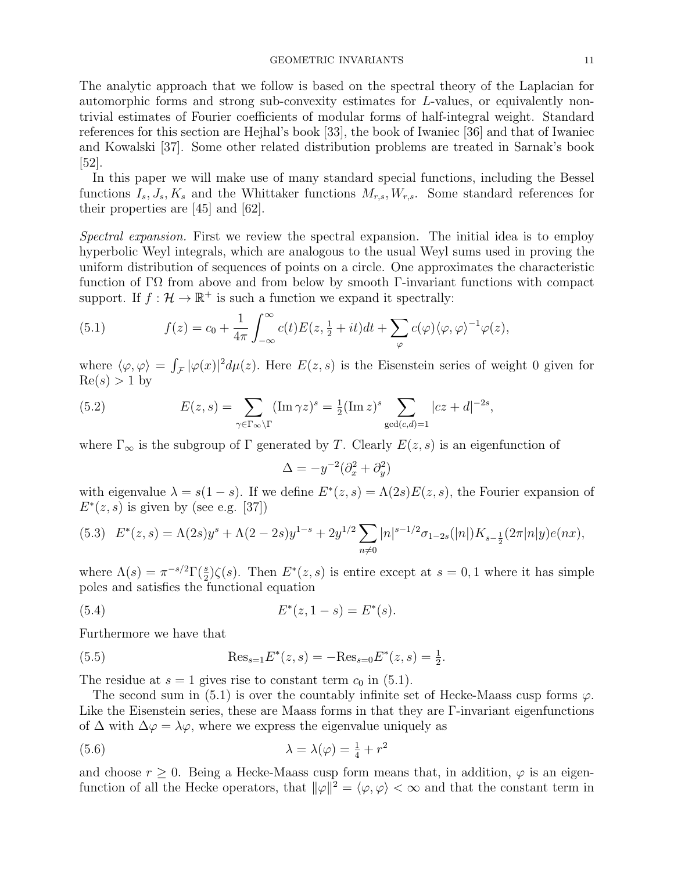The analytic approach that we follow is based on the spectral theory of the Laplacian for automorphic forms and strong sub-convexity estimates for L-values, or equivalently nontrivial estimates of Fourier coefficients of modular forms of half-integral weight. Standard references for this section are Hejhal's book [33], the book of Iwaniec [36] and that of Iwaniec and Kowalski [37]. Some other related distribution problems are treated in Sarnak's book [52].

In this paper we will make use of many standard special functions, including the Bessel functions  $I_s, J_s, K_s$  and the Whittaker functions  $M_{r,s}, W_{r,s}$ . Some standard references for their properties are [45] and [62].

Spectral expansion. First we review the spectral expansion. The initial idea is to employ hyperbolic Weyl integrals, which are analogous to the usual Weyl sums used in proving the uniform distribution of sequences of points on a circle. One approximates the characteristic function of ΓΩ from above and from below by smooth Γ-invariant functions with compact support. If  $f: \mathcal{H} \to \mathbb{R}^+$  is such a function we expand it spectrally:

(5.1) 
$$
f(z) = c_0 + \frac{1}{4\pi} \int_{-\infty}^{\infty} c(t) E(z, \frac{1}{2} + it) dt + \sum_{\varphi} c(\varphi) \langle \varphi, \varphi \rangle^{-1} \varphi(z),
$$

where  $\langle \varphi, \varphi \rangle = \int_{\mathcal{F}} |\varphi(x)|^2 d\mu(z)$ . Here  $E(z, s)$  is the Eisenstein series of weight 0 given for  $Re(s) > 1$  by

(5.2) 
$$
E(z,s) = \sum_{\gamma \in \Gamma_{\infty} \backslash \Gamma} (\operatorname{Im} \gamma z)^s = \frac{1}{2} (\operatorname{Im} z)^s \sum_{\gcd(c,d)=1} |cz+d|^{-2s},
$$

where  $\Gamma_{\infty}$  is the subgroup of  $\Gamma$  generated by T. Clearly  $E(z, s)$  is an eigenfunction of

$$
\Delta = -y^{-2}(\partial_x^2 + \partial_y^2)
$$

with eigenvalue  $\lambda = s(1-s)$ . If we define  $E^*(z, s) = \Lambda(2s)E(z, s)$ , the Fourier expansion of  $E^*(z, s)$  is given by (see e.g. [37])

$$
(5.3)\quad E^*(z,s) = \Lambda(2s)y^s + \Lambda(2-2s)y^{1-s} + 2y^{1/2} \sum_{n \neq 0} |n|^{s-1/2} \sigma_{1-2s}(|n|) K_{s-\frac{1}{2}}(2\pi |n|y)e(nx),
$$

where  $\Lambda(s) = \pi^{-s/2} \Gamma(\frac{s}{2}) \zeta(s)$ . Then  $E^*(z, s)$  is entire except at  $s = 0, 1$  where it has simple poles and satisfies the functional equation

(5.4) 
$$
E^*(z, 1-s) = E^*(s).
$$

Furthermore we have that

(5.5) 
$$
\text{Res}_{s=1} E^*(z, s) = -\text{Res}_{s=0} E^*(z, s) = \frac{1}{2}.
$$

The residue at  $s = 1$  gives rise to constant term  $c_0$  in (5.1).

The second sum in (5.1) is over the countably infinite set of Hecke-Maass cusp forms  $\varphi$ . Like the Eisenstein series, these are Maass forms in that they are Γ-invariant eigenfunctions of  $\Delta$  with  $\Delta \varphi = \lambda \varphi$ , where we express the eigenvalue uniquely as

(5.6) 
$$
\lambda = \lambda(\varphi) = \frac{1}{4} + r^2
$$

and choose  $r \geq 0$ . Being a Hecke-Maass cusp form means that, in addition,  $\varphi$  is an eigenfunction of all the Hecke operators, that  $\|\varphi\|^2 = \langle \varphi, \varphi \rangle < \infty$  and that the constant term in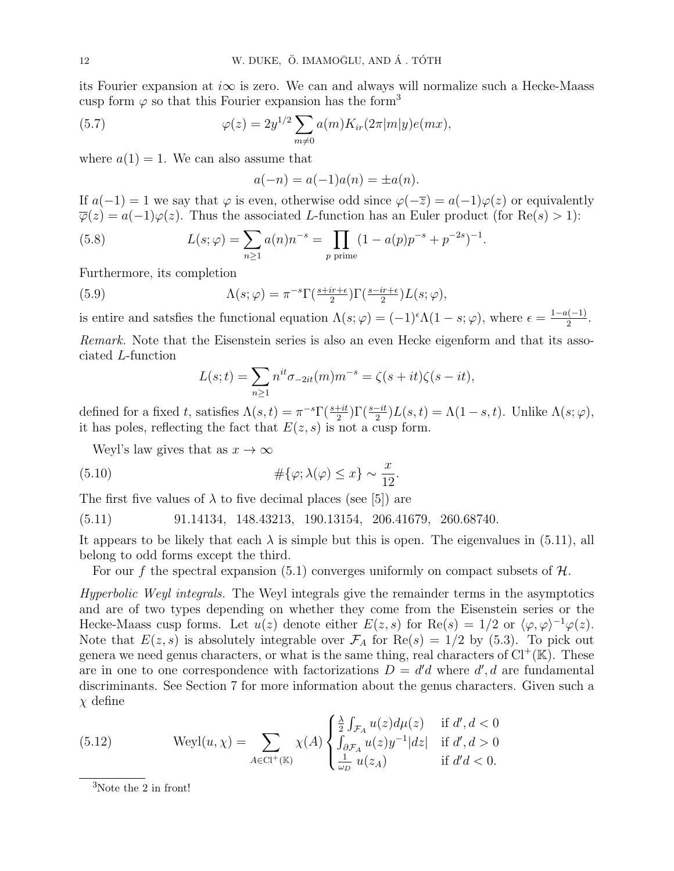its Fourier expansion at  $i\infty$  is zero. We can and always will normalize such a Hecke-Maass cusp form  $\varphi$  so that this Fourier expansion has the form<sup>3</sup>

(5.7) 
$$
\varphi(z) = 2y^{1/2} \sum_{m \neq 0} a(m) K_{ir}(2\pi |m|y) e(mx),
$$

where  $a(1) = 1$ . We can also assume that

$$
a(-n) = a(-1)a(n) = \pm a(n).
$$

If  $a(-1) = 1$  we say that  $\varphi$  is even, otherwise odd since  $\varphi(-\overline{z}) = a(-1)\varphi(z)$  or equivalently  $\overline{\varphi}(z) = a(-1)\varphi(z)$ . Thus the associated L-function has an Euler product (for Re(s) > 1):

(5.8) 
$$
L(s; \varphi) = \sum_{n \ge 1} a(n) n^{-s} = \prod_{p \text{ prime}} (1 - a(p) p^{-s} + p^{-2s})^{-1}.
$$

Furthermore, its completion

(5.9) 
$$
\Lambda(s; \varphi) = \pi^{-s} \Gamma(\frac{s + ir + \epsilon}{2}) \Gamma(\frac{s - ir + \epsilon}{2}) L(s; \varphi),
$$

is entire and satsfies the functional equation  $\Lambda(s; \varphi) = (-1)^{\epsilon} \Lambda(1-s; \varphi)$ , where  $\epsilon = \frac{1-a(-1)}{2}$  $rac{2^{(n-1)}}{2}$ .

Remark. Note that the Eisenstein series is also an even Hecke eigenform and that its associated L-function

$$
L(s;t) = \sum_{n\geq 1} n^{it} \sigma_{-2it}(m) m^{-s} = \zeta(s+it)\zeta(s-it),
$$

defined for a fixed t, satisfies  $\Lambda(s,t) = \pi^{-s} \Gamma(\frac{s+it}{2}) \Gamma(\frac{s-it}{2}) L(s,t) = \Lambda(1-s,t)$ . Unlike  $\Lambda(s;\varphi)$ , it has poles, reflecting the fact that  $E(z, s)$  is not a cusp form.

Weyl's law gives that as  $x \to \infty$ 

(5.10) 
$$
\#\{\varphi; \lambda(\varphi) \le x\} \sim \frac{x}{12}.
$$

The first five values of  $\lambda$  to five decimal places (see [5]) are

(5.11) 91.14134, 148.43213, 190.13154, 206.41679, 260.68740.

It appears to be likely that each  $\lambda$  is simple but this is open. The eigenvalues in (5.11), all belong to odd forms except the third.

For our f the spectral expansion (5.1) converges uniformly on compact subsets of  $H$ .

Hyperbolic Weyl integrals. The Weyl integrals give the remainder terms in the asymptotics and are of two types depending on whether they come from the Eisenstein series or the Hecke-Maass cusp forms. Let  $u(z)$  denote either  $E(z, s)$  for  $\text{Re}(s) = 1/2$  or  $\langle \varphi, \varphi \rangle^{-1} \varphi(z)$ . Note that  $E(z, s)$  is absolutely integrable over  $\mathcal{F}_A$  for  $\text{Re}(s) = 1/2$  by (5.3). To pick out genera we need genus characters, or what is the same thing, real characters of  $Cl^+(\mathbb{K})$ . These are in one to one correspondence with factorizations  $D = d'd$  where  $d', d$  are fundamental discriminants. See Section 7 for more information about the genus characters. Given such a  $\chi$  define

(5.12) Weyl(u, χ) = X A∈Cl+(K) χ(A) λ 2 R F<sup>A</sup> u(z)dµ(z) if d 0 , d < 0 R ∂F<sup>A</sup> u(z)y −1 |dz| if d 0 , d > 0 1 ω<sup>D</sup> u(zA) if d <sup>0</sup>d < 0.

<sup>3</sup>Note the 2 in front!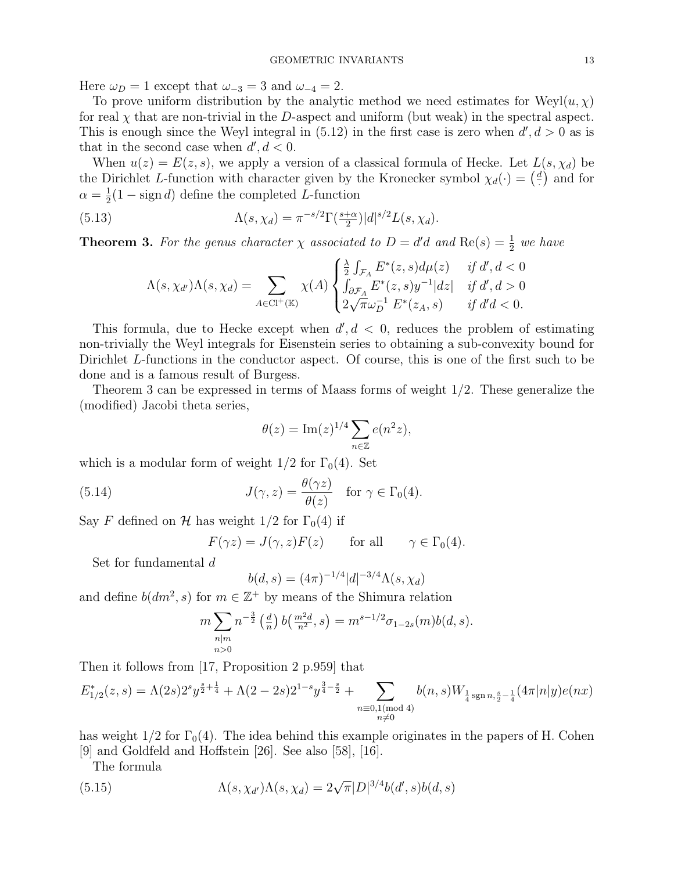Here  $\omega_D = 1$  except that  $\omega_{-3} = 3$  and  $\omega_{-4} = 2$ .

To prove uniform distribution by the analytic method we need estimates for  $Weyl(u, \chi)$ for real  $\chi$  that are non-trivial in the D-aspect and uniform (but weak) in the spectral aspect. This is enough since the Weyl integral in  $(5.12)$  in the first case is zero when  $d', d > 0$  as is that in the second case when  $d', d < 0$ .

When  $u(z) = E(z, s)$ , we apply a version of a classical formula of Hecke. Let  $L(s, \chi_d)$  be the Dirichlet L-function with character given by the Kronecker symbol  $\chi_d(\cdot) = \left(\frac{d}{d\tau}\right)^{d}$  $\frac{d}{dx}$  and for  $\alpha = \frac{1}{2}$  $\frac{1}{2}(1 - \text{sign } d)$  define the completed L-function

(5.13) 
$$
\Lambda(s,\chi_d) = \pi^{-s/2} \Gamma(\frac{s+\alpha}{2}) |d|^{s/2} L(s,\chi_d).
$$

**Theorem 3.** For the genus character  $\chi$  associated to  $D = d'd$  and  $Re(s) = \frac{1}{2}$  we have

$$
\Lambda(s,\chi_{d'})\Lambda(s,\chi_d) = \sum_{A \in \text{Cl}^+(\mathbb{K})} \chi(A) \begin{cases} \frac{\lambda}{2} \int_{\mathcal{F}_A} E^*(z,s) d\mu(z) & \text{if } d', d < 0 \\ \int_{\partial \mathcal{F}_A} E^*(z,s) y^{-1} |dz| & \text{if } d', d > 0 \\ 2\sqrt{\pi} \omega_D^{-1} E^*(z_A,s) & \text{if } d'd < 0. \end{cases}
$$

This formula, due to Hecke except when  $d', d < 0$ , reduces the problem of estimating non-trivially the Weyl integrals for Eisenstein series to obtaining a sub-convexity bound for Dirichlet L-functions in the conductor aspect. Of course, this is one of the first such to be done and is a famous result of Burgess.

Theorem 3 can be expressed in terms of Maass forms of weight 1/2. These generalize the (modified) Jacobi theta series,

$$
\theta(z) = \operatorname{Im}(z)^{1/4} \sum_{n \in \mathbb{Z}} e(n^2 z),
$$

which is a modular form of weight  $1/2$  for  $\Gamma_0(4)$ . Set

(5.14) 
$$
J(\gamma, z) = \frac{\theta(\gamma z)}{\theta(z)} \quad \text{for } \gamma \in \Gamma_0(4).
$$

Say F defined on H has weight  $1/2$  for  $\Gamma_0(4)$  if

$$
F(\gamma z) = J(\gamma, z)F(z) \quad \text{for all} \quad \gamma \in \Gamma_0(4).
$$

Set for fundamental d

$$
b(d,s) = (4\pi)^{-1/4}|d|^{-3/4}\Lambda(s,\chi_d)
$$

and define  $b(dm^2, s)$  for  $m \in \mathbb{Z}^+$  by means of the Shimura relation

$$
m \sum_{\substack{n|m\\n>0}} n^{-\frac{3}{2}} \left(\frac{d}{n}\right) b\left(\frac{m^2 d}{n^2}, s\right) = m^{s-1/2} \sigma_{1-2s}(m) b(d, s).
$$

Then it follows from [17, Proposition 2 p.959] that

$$
E_{1/2}^*(z,s) = \Lambda(2s)2^s y^{\frac{s}{2} + \frac{1}{4}} + \Lambda(2-2s)2^{1-s} y^{\frac{3}{4} - \frac{s}{2}} + \sum_{\substack{n \equiv 0,1 \pmod{4} \\ n \neq 0}} b(n,s) W_{\frac{1}{4} \operatorname{sgn} n, \frac{s}{2} - \frac{1}{4}}(4\pi |n|y) e(nx)
$$

has weight  $1/2$  for  $\Gamma_0(4)$ . The idea behind this example originates in the papers of H. Cohen [9] and Goldfeld and Hoffstein [26]. See also [58], [16].

The formula

(5.15) 
$$
\Lambda(s, \chi_{d'})\Lambda(s, \chi_d) = 2\sqrt{\pi} |D|^{3/4}b(d', s)b(d, s)
$$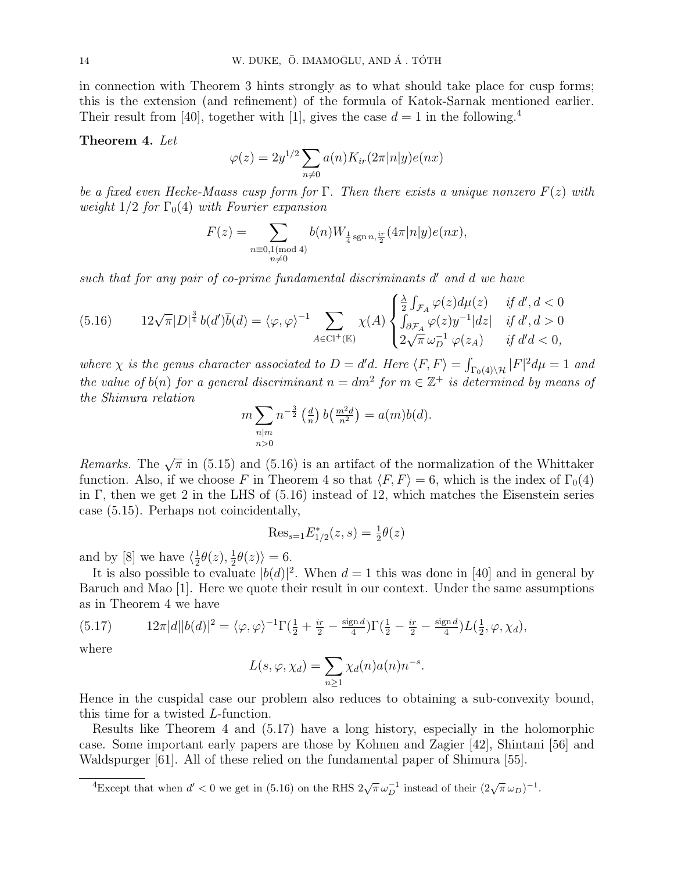in connection with Theorem 3 hints strongly as to what should take place for cusp forms; this is the extension (and refinement) of the formula of Katok-Sarnak mentioned earlier. Their result from [40], together with [1], gives the case  $d = 1$  in the following.<sup>4</sup>

#### Theorem 4. Let

$$
\varphi(z) = 2y^{1/2} \sum_{n \neq 0} a(n) K_{ir}(2\pi |n|y) e(nx)
$$

be a fixed even Hecke-Maass cusp form for Γ. Then there exists a unique nonzero  $F(z)$  with weight  $1/2$  for  $\Gamma_0(4)$  with Fourier expansion

$$
F(z) = \sum_{\substack{n \equiv 0,1 \pmod{4} \\ n \neq 0}} b(n) W_{\frac{1}{4} \operatorname{sgn} n, \frac{ir}{2}}(4\pi |n|y) e(nx),
$$

such that for any pair of co-prime fundamental discriminants  $d'$  and  $d$  we have

$$
(5.16) \qquad 12\sqrt{\pi}|D|^{\frac{3}{4}}b(d')\overline{b}(d)=\langle\varphi,\varphi\rangle^{-1}\sum_{A\in \text{Cl}^+(\mathbb{K})}\chi(A)\begin{cases} \frac{\lambda}{2}\int_{\mathcal{F}_A}\varphi(z)d\mu(z) & \text{if }d',d<0\\ \int_{\partial\mathcal{F}_A}\varphi(z)y^{-1}|dz| & \text{if }d',d>0\\ 2\sqrt{\pi} \,\omega_D^{-1}\,\varphi(z_A) & \text{if }d'd<0, \end{cases}
$$

where  $\chi$  is the genus character associated to  $D = d'd$ . Here  $\langle F, F \rangle = \int_{\Gamma_0(4)\setminus\mathcal{H}} |F|^2 d\mu = 1$  and the value of  $b(n)$  for a general discriminant  $n = dm^2$  for  $m \in \mathbb{Z}^+$  is determined by means of the Shimura relation

$$
m \sum_{\substack{n|m\\n>0}} n^{-\frac{3}{2}} \left(\frac{d}{n}\right) b\left(\frac{m^2 d}{n^2}\right) = a(m)b(d).
$$

Remarks. The  $\sqrt{\pi}$  in (5.15) and (5.16) is an artifact of the normalization of the Whittaker function. Also, if we choose F in Theorem 4 so that  $\langle F, F \rangle = 6$ , which is the index of  $\Gamma_0(4)$ in Γ, then we get 2 in the LHS of  $(5.16)$  instead of 12, which matches the Eisenstein series case (5.15). Perhaps not coincidentally,

$$
Res_{s=1}E_{1/2}^*(z,s) = \frac{1}{2}\theta(z)
$$

and by [8] we have  $\langle \frac{1}{2} \rangle$  $\frac{1}{2}\theta(z),\frac{1}{2}$  $\frac{1}{2}\theta(z)\rangle=6.$ 

It is also possible to evaluate  $|b(d)|^2$ . When  $d=1$  this was done in [40] and in general by Baruch and Mao [1]. Here we quote their result in our context. Under the same assumptions as in Theorem 4 we have

(5.17) 
$$
12\pi |d||b(d)|^2 = \langle \varphi, \varphi \rangle^{-1} \Gamma(\frac{1}{2} + \frac{ir}{2} - \frac{\text{sign } d}{4}) \Gamma(\frac{1}{2} - \frac{ir}{2} - \frac{\text{sign } d}{4}) L(\frac{1}{2}, \varphi, \chi_d),
$$

where

$$
L(s, \varphi, \chi_d) = \sum_{n \ge 1} \chi_d(n) a(n) n^{-s}.
$$

Hence in the cuspidal case our problem also reduces to obtaining a sub-convexity bound, this time for a twisted L-function.

Results like Theorem 4 and (5.17) have a long history, especially in the holomorphic case. Some important early papers are those by Kohnen and Zagier [42], Shintani [56] and Waldspurger [61]. All of these relied on the fundamental paper of Shimura [55].

 $\frac{4E}{\text{except that when}} d' < 0$  we get in (5.16) on the RHS  $2\sqrt{\pi} \omega_D^{-1}$  instead of their  $(2\sqrt{\pi} \omega_D)^{-1}$ .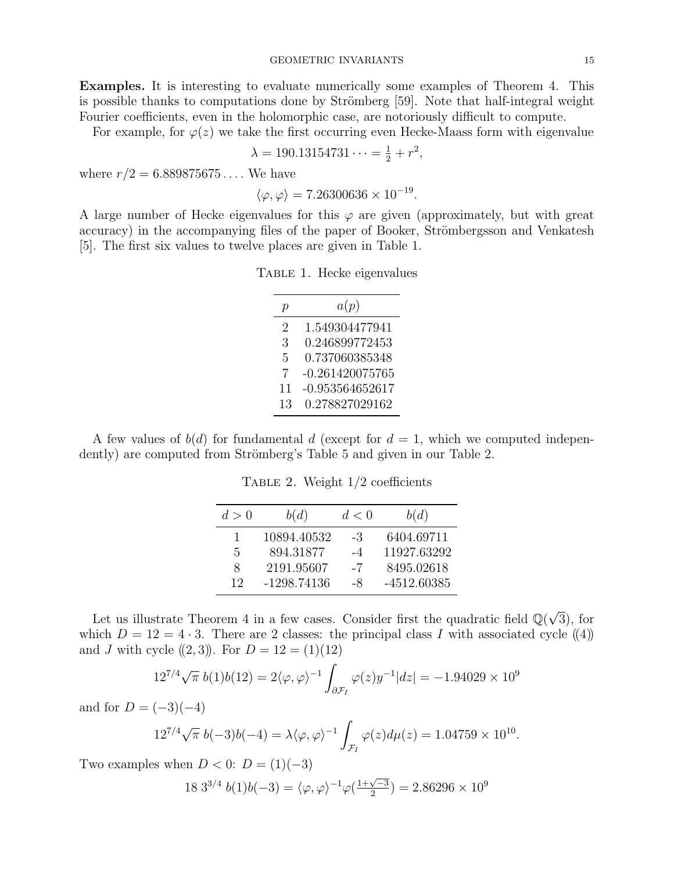Examples. It is interesting to evaluate numerically some examples of Theorem 4. This is possible thanks to computations done by Strömberg [59]. Note that half-integral weight Fourier coefficients, even in the holomorphic case, are notoriously difficult to compute.

For example, for  $\varphi(z)$  we take the first occurring even Hecke-Maass form with eigenvalue

$$
\lambda = 190.13154731 \cdots = \frac{1}{2} + r^2,
$$

where  $r/2 = 6.889875675...$  We have

$$
\langle \varphi, \varphi \rangle = 7.26300636 \times 10^{-19}
$$

.

A large number of Hecke eigenvalues for this  $\varphi$  are given (approximately, but with great accuracy) in the accompanying files of the paper of Booker, Strömbergsson and Venkatesh [5]. The first six values to twelve places are given in Table 1.

Table 1. Hecke eigenvalues

| р                           | a(p)              |  |  |
|-----------------------------|-------------------|--|--|
| $\mathcal{D}_{\mathcal{L}}$ | 1.549304477941    |  |  |
| 3                           | 0.246899772453    |  |  |
| 5                           | 0.737060385348    |  |  |
| 7                           | $-0.261420075765$ |  |  |
| 11                          | $-0.953564652617$ |  |  |
| 13                          | 0.278827029162    |  |  |

A few values of  $b(d)$  for fundamental d (except for  $d = 1$ , which we computed independently) are computed from Strömberg's Table 5 and given in our Table 2.

TABLE 2. Weight  $1/2$  coefficients

| d>0 | b(d)          | d<0  | b(d)          |
|-----|---------------|------|---------------|
| 1   | 10894.40532   | -3   | 6404.69711    |
| 5   | 894.31877     | $-4$ | 11927.63292   |
| 8   | 2191.95607    | $-7$ | 8495.02618    |
| 12  | $-1298.74136$ | -8   | $-4512.60385$ |

Let us illustrate Theorem 4 in a few cases. Consider first the quadratic field  $\mathbb{Q}(\sqrt{\mathbb{Z}})$ 3), for which  $D = 12 = 4 \cdot 3$ . There are 2 classes: the principal class I with associated cycle ((4)) and J with cycle  $((2, 3))$ . For  $D = 12 = (1)(12)$ 

$$
12^{7/4}\sqrt{\pi} \; b(1)b(12) = 2\langle \varphi, \varphi \rangle^{-1} \int_{\partial \mathcal{F}_I} \varphi(z) y^{-1} |dz| = -1.94029 \times 10^9
$$

and for  $D = (-3)(-4)$ 

$$
12^{7/4}\sqrt{\pi} \ b(-3)b(-4) = \lambda \langle \varphi, \varphi \rangle^{-1} \int_{\mathcal{F}_I} \varphi(z) d\mu(z) = 1.04759 \times 10^{10}.
$$

Two examples when  $D < 0$ :  $D = (1)(-3)$ 

$$
18 \ 3^{3/4} \ b(1)b(-3) = \langle \varphi, \varphi \rangle^{-1} \varphi(\frac{1+\sqrt{-3}}{2}) = 2.86296 \times 10^9
$$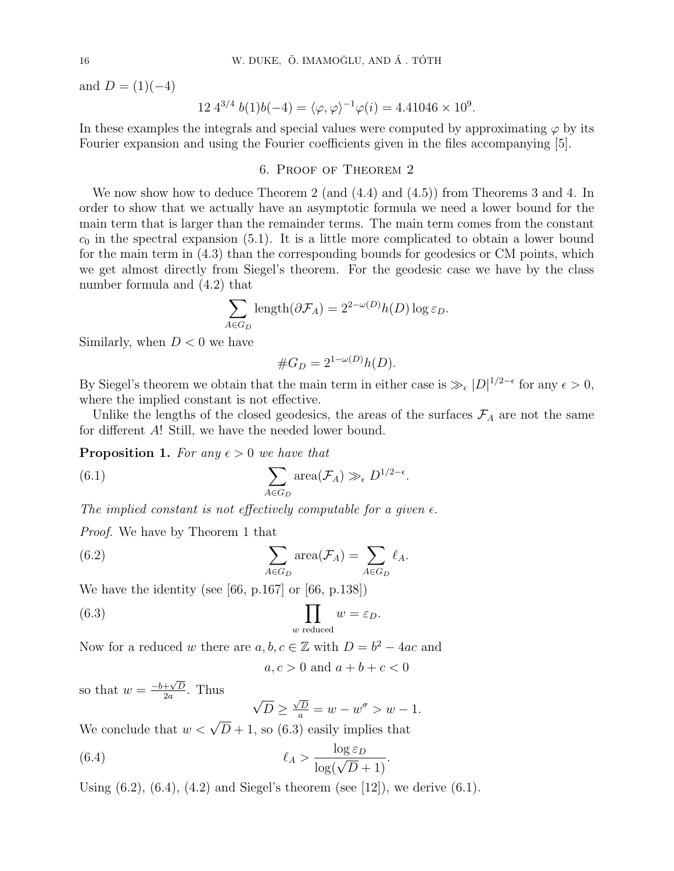and  $D = (1)(-4)$ 

$$
12 \; 4^{3/4} \; b(1)b(-4) = \langle \varphi, \varphi \rangle^{-1} \varphi(i) = 4.41046 \times 10^9.
$$

In these examples the integrals and special values were computed by approximating  $\varphi$  by its Fourier expansion and using the Fourier coefficients given in the files accompanying [5].

## 6. Proof of Theorem 2

We now show how to deduce Theorem 2 (and  $(4.4)$  and  $(4.5)$ ) from Theorems 3 and 4. In order to show that we actually have an asymptotic formula we need a lower bound for the main term that is larger than the remainder terms. The main term comes from the constant  $c_0$  in the spectral expansion (5.1). It is a little more complicated to obtain a lower bound for the main term in (4.3) than the corresponding bounds for geodesics or CM points, which we get almost directly from Siegel's theorem. For the geodesic case we have by the class number formula and (4.2) that

$$
\sum_{A \in G_D} \text{length}(\partial \mathcal{F}_A) = 2^{2-\omega(D)} h(D) \log \varepsilon_D.
$$

Similarly, when  $D < 0$  we have

$$
\#G_D = 2^{1-\omega(D)}h(D).
$$

By Siegel's theorem we obtain that the main term in either case is  $\gg_{\epsilon} |D|^{1/2-\epsilon}$  for any  $\epsilon > 0$ , where the implied constant is not effective.

Unlike the lengths of the closed geodesics, the areas of the surfaces  $\mathcal{F}_A$  are not the same for different A! Still, we have the needed lower bound.

**Proposition 1.** For any  $\epsilon > 0$  we have that

(6.1) 
$$
\sum_{A \in G_D} \operatorname{area}(\mathcal{F}_A) \gg_{\epsilon} D^{1/2 - \epsilon}.
$$

The implied constant is not effectively computable for a given  $\epsilon$ .

Proof. We have by Theorem 1 that

(6.2) 
$$
\sum_{A \in G_D} \operatorname{area}(\mathcal{F}_A) = \sum_{A \in G_D} \ell_A.
$$

We have the identity (see [66, p.167] or [66, p.138])

(6.3) 
$$
\prod_{w \text{ reduced}} w = \varepsilon_D.
$$

Now for a reduced w there are  $a, b, c \in \mathbb{Z}$  with  $D = b^2 - 4ac$  and

$$
a, c > 0 \text{ and } a + b + c < 0
$$

so that  $w = \frac{-b + \sqrt{D}}{2a}$  $rac{+\sqrt{D}}{2a}$ . Thus

$$
\sqrt{D} \ge \frac{\sqrt{D}}{a} = w - w^{\sigma} > w - 1.
$$

We conclude that  $w < \sqrt{D} + 1$ , so (6.3) easily implies that

(6.4) 
$$
\ell_A > \frac{\log \varepsilon_D}{\log(\sqrt{D} + 1)}.
$$

Using  $(6.2)$ ,  $(6.4)$ ,  $(4.2)$  and Siegel's theorem (see [12]), we derive  $(6.1)$ .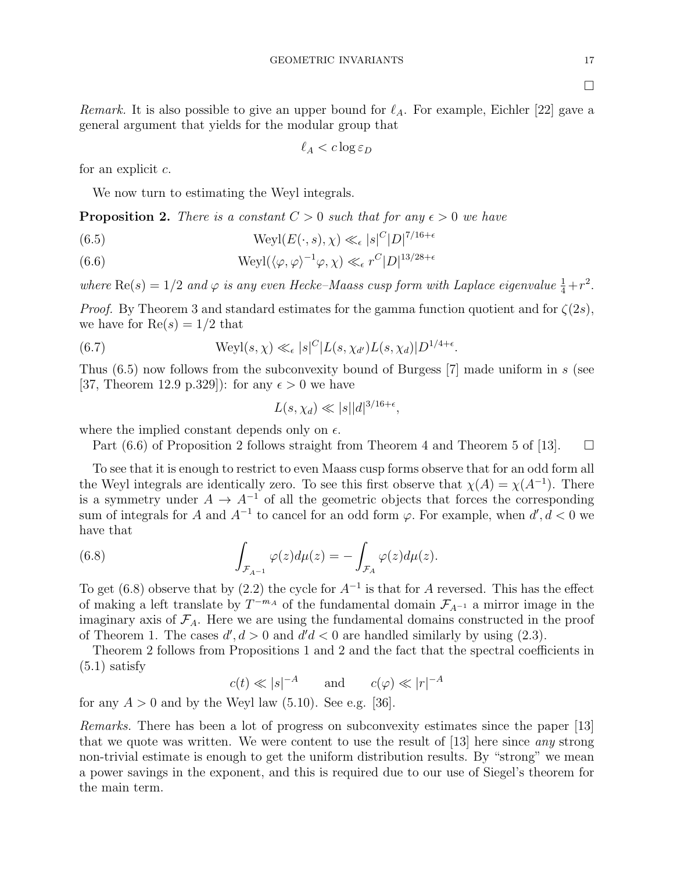$\Box$ 

Remark. It is also possible to give an upper bound for  $\ell_A$ . For example, Eichler [22] gave a general argument that yields for the modular group that

$$
\ell_A < c \log \varepsilon_D
$$

for an explicit c.

We now turn to estimating the Weyl integrals.

**Proposition 2.** There is a constant  $C > 0$  such that for any  $\epsilon > 0$  we have

(6.5) 
$$
Weyl(E(\cdot, s), \chi) \ll_{\epsilon} |s|^C|D|^{7/16+\epsilon}
$$

 $Weyl(\langle \varphi, \varphi \rangle^{-1} \varphi, \chi) \ll_{\epsilon} r^C |D|^{13/28+\epsilon}$ (6.6)

where  $\text{Re}(s) = 1/2$  and  $\varphi$  is any even Hecke-Maass cusp form with Laplace eigenvalue  $\frac{1}{4} + r^2$ .

*Proof.* By Theorem 3 and standard estimates for the gamma function quotient and for  $\zeta(2s)$ , we have for  $\text{Re}(s) = 1/2$  that

(6.7) 
$$
\text{Weyl}(s,\chi) \ll_{\epsilon} |s|^C |L(s,\chi_{d'}) L(s,\chi_d)| D^{1/4+\epsilon}.
$$

Thus  $(6.5)$  now follows from the subconvexity bound of Burgess [7] made uniform in s (see [37, Theorem 12.9 p.329]): for any  $\epsilon > 0$  we have

$$
L(s, \chi_d) \ll |s| |d|^{3/16 + \epsilon},
$$

where the implied constant depends only on  $\epsilon$ .

Part  $(6.6)$  of Proposition 2 follows straight from Theorem 4 and Theorem 5 of [13].  $\square$ 

To see that it is enough to restrict to even Maass cusp forms observe that for an odd form all the Weyl integrals are identically zero. To see this first observe that  $\chi(A) = \chi(A^{-1})$ . There is a symmetry under  $A \to A^{-1}$  of all the geometric objects that forces the corresponding sum of integrals for A and  $A^{-1}$  to cancel for an odd form  $\varphi$ . For example, when  $d', d < 0$  we have that

(6.8) 
$$
\int_{\mathcal{F}_{A^{-1}}} \varphi(z) d\mu(z) = - \int_{\mathcal{F}_A} \varphi(z) d\mu(z).
$$

To get (6.8) observe that by (2.2) the cycle for  $A^{-1}$  is that for A reversed. This has the effect of making a left translate by  $T^{-m_A}$  of the fundamental domain  $\mathcal{F}_{A^{-1}}$  a mirror image in the imaginary axis of  $\mathcal{F}_A$ . Here we are using the fundamental domains constructed in the proof of Theorem 1. The cases  $d', d > 0$  and  $d'd < 0$  are handled similarly by using (2.3).

Theorem 2 follows from Propositions 1 and 2 and the fact that the spectral coefficients in  $(5.1)$  satisfy

 $c(t) \ll |s|^{-A}$  and  $c(\varphi) \ll |r|^{-A}$ 

for any  $A > 0$  and by the Weyl law  $(5.10)$ . See e.g. [36].

Remarks. There has been a lot of progress on subconvexity estimates since the paper [13] that we quote was written. We were content to use the result of  $[13]$  here since any strong non-trivial estimate is enough to get the uniform distribution results. By "strong" we mean a power savings in the exponent, and this is required due to our use of Siegel's theorem for the main term.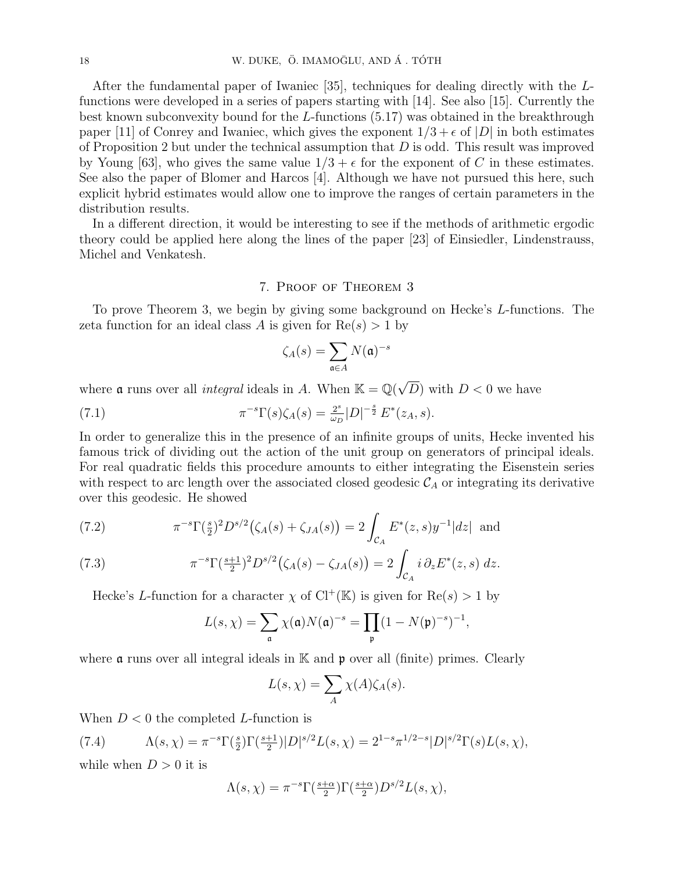After the fundamental paper of Iwaniec [35], techniques for dealing directly with the Lfunctions were developed in a series of papers starting with [14]. See also [15]. Currently the best known subconvexity bound for the  $L$ -functions (5.17) was obtained in the breakthrough paper [11] of Conrey and Iwaniec, which gives the exponent  $1/3 + \epsilon$  of  $|D|$  in both estimates of Proposition 2 but under the technical assumption that  $D$  is odd. This result was improved by Young [63], who gives the same value  $1/3 + \epsilon$  for the exponent of C in these estimates. See also the paper of Blomer and Harcos [4]. Although we have not pursued this here, such explicit hybrid estimates would allow one to improve the ranges of certain parameters in the distribution results.

In a different direction, it would be interesting to see if the methods of arithmetic ergodic theory could be applied here along the lines of the paper [23] of Einsiedler, Lindenstrauss, Michel and Venkatesh.

## 7. Proof of Theorem 3

To prove Theorem 3, we begin by giving some background on Hecke's L-functions. The zeta function for an ideal class A is given for  $Re(s) > 1$  by

$$
\zeta_A(s) = \sum_{\mathfrak{a} \in A} N(\mathfrak{a})^{-s}
$$

where **a** runs over all *integral* ideals in A. When  $\mathbb{K} = \mathbb{Q}(\sqrt{\mathbb{K}})$ D) with  $D < 0$  we have

(7.1) 
$$
\pi^{-s} \Gamma(s) \zeta_A(s) = \frac{2^s}{\omega_D} |D|^{-\frac{s}{2}} E^*(z_A, s).
$$

In order to generalize this in the presence of an infinite groups of units, Hecke invented his famous trick of dividing out the action of the unit group on generators of principal ideals. For real quadratic fields this procedure amounts to either integrating the Eisenstein series with respect to arc length over the associated closed geodesic  $\mathcal{C}_A$  or integrating its derivative over this geodesic. He showed

(7.2) 
$$
\pi^{-s} \Gamma(\frac{s}{2})^2 D^{s/2}(\zeta_A(s) + \zeta_{JA}(s)) = 2 \int_{\mathcal{C}_A} E^*(z, s) y^{-1} |dz| \text{ and}
$$

(7.3) 
$$
\pi^{-s} \Gamma(\frac{s+1}{2})^2 D^{s/2}(\zeta_A(s) - \zeta_{JA}(s)) = 2 \int_{\mathcal{C}_A} i \, \partial_z E^*(z, s) \, dz.
$$

Hecke's L-function for a character  $\chi$  of Cl<sup>+</sup>(K) is given for Re(s) > 1 by

$$
L(s,\chi)=\sum_{\mathfrak{a}}\chi(\mathfrak{a})N(\mathfrak{a})^{-s}=\prod_{\mathfrak{p}}(1-N(\mathfrak{p})^{-s})^{-1},
$$

where  $\alpha$  runs over all integral ideals in K and  $\beta$  over all (finite) primes. Clearly

$$
L(s,\chi) = \sum_{A} \chi(A)\zeta_A(s).
$$

When  $D < 0$  the completed L-function is

(7.4) 
$$
\Lambda(s,\chi) = \pi^{-s} \Gamma(\frac{s}{2}) \Gamma(\frac{s+1}{2}) |D|^{s/2} L(s,\chi) = 2^{1-s} \pi^{1/2-s} |D|^{s/2} \Gamma(s) L(s,\chi),
$$

while when  $D > 0$  it is

$$
\Lambda(s,\chi) = \pi^{-s} \Gamma(\frac{s+\alpha}{2}) \Gamma(\frac{s+\alpha}{2}) D^{s/2} L(s,\chi),
$$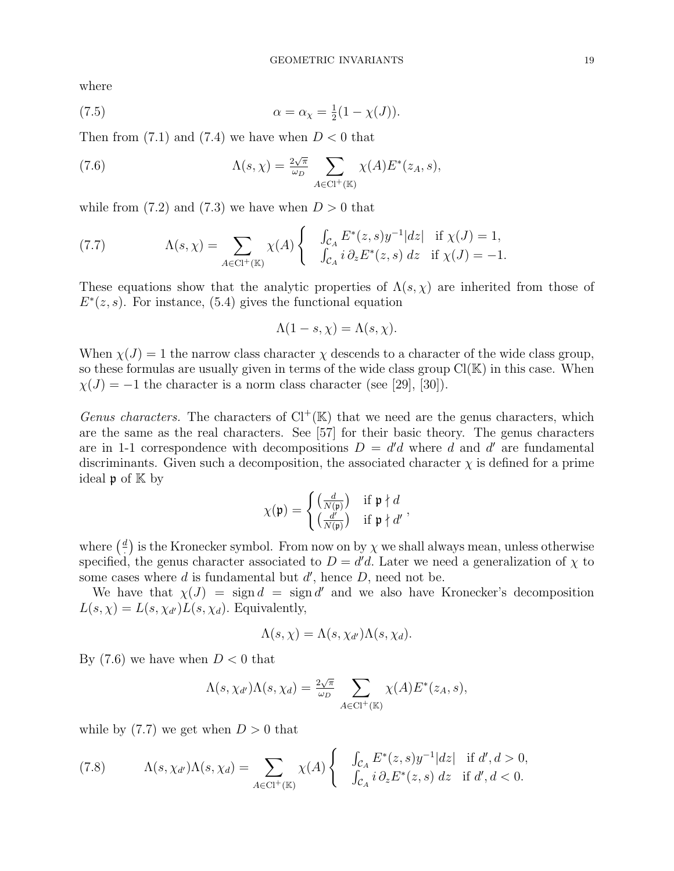where

(7.5) 
$$
\alpha = \alpha_{\chi} = \frac{1}{2}(1 - \chi(J)).
$$

Then from  $(7.1)$  and  $(7.4)$  we have when  $D < 0$  that

(7.6) 
$$
\Lambda(s,\chi) = \frac{2\sqrt{\pi}}{\omega_D} \sum_{A \in \text{Cl}^+(\mathbb{K})} \chi(A) E^*(z_A, s),
$$

while from  $(7.2)$  and  $(7.3)$  we have when  $D > 0$  that

(7.7) 
$$
\Lambda(s,\chi) = \sum_{A \in \text{Cl}^+(\mathbb{K})} \chi(A) \begin{cases} \int_{\mathcal{C}_A} E^*(z,s) y^{-1} |dz| & \text{if } \chi(J) = 1, \\ \int_{\mathcal{C}_A} i \, \partial_z E^*(z,s) \, dz & \text{if } \chi(J) = -1. \end{cases}
$$

These equations show that the analytic properties of  $\Lambda(s, \chi)$  are inherited from those of  $E^*(z, s)$ . For instance, (5.4) gives the functional equation

$$
\Lambda(1-s,\chi)=\Lambda(s,\chi).
$$

When  $\chi(J) = 1$  the narrow class character  $\chi$  descends to a character of the wide class group, so these formulas are usually given in terms of the wide class group  $Cl(K)$  in this case. When  $\chi(J) = -1$  the character is a norm class character (see [29], [30]).

Genus characters. The characters of  $Cl^+(\mathbb{K})$  that we need are the genus characters, which are the same as the real characters. See [57] for their basic theory. The genus characters are in 1-1 correspondence with decompositions  $D = d'd$  where d and d' are fundamental discriminants. Given such a decomposition, the associated character  $\chi$  is defined for a prime ideal **p** of  $K$  by

$$
\chi(\mathfrak{p}) = \begin{cases} \left(\frac{d}{N(\mathfrak{p})}\right) & \text{if } \mathfrak{p} \nmid d \\ \left(\frac{d'}{N(\mathfrak{p})}\right) & \text{if } \mathfrak{p} \nmid d' \end{cases},
$$

where  $\left(\frac{d}{dx}\right)$  $\frac{d}{dx}$ ) is the Kronecker symbol. From now on by  $\chi$  we shall always mean, unless otherwise specified, the genus character associated to  $D = d'd$ . Later we need a generalization of  $\chi$  to some cases where  $d$  is fundamental but  $d'$ , hence  $D$ , need not be.

We have that  $\chi(J) = \text{sign } d = \text{sign } d'$  and we also have Kronecker's decomposition  $L(s, \chi) = L(s, \chi_{d'}) L(s, \chi_d)$ . Equivalently,

$$
\Lambda(s,\chi)=\Lambda(s,\chi_{d'})\Lambda(s,\chi_d).
$$

By  $(7.6)$  we have when  $D < 0$  that

$$
\Lambda(s, \chi_{d'})\Lambda(s, \chi_d) = \frac{2\sqrt{\pi}}{\omega_D} \sum_{A \in \text{Cl}^+(\mathbb{K})} \chi(A) E^*(z_A, s),
$$

while by  $(7.7)$  we get when  $D > 0$  that

(7.8) 
$$
\Lambda(s, \chi_{d'})\Lambda(s, \chi_d) = \sum_{A \in \text{Cl}^+(\mathbb{K})} \chi(A) \begin{cases} \int_{\mathcal{C}_A} E^*(z, s) y^{-1} |dz| & \text{if } d', d > 0, \\ \int_{\mathcal{C}_A} i \, \partial_z E^*(z, s) \, dz & \text{if } d', d < 0. \end{cases}
$$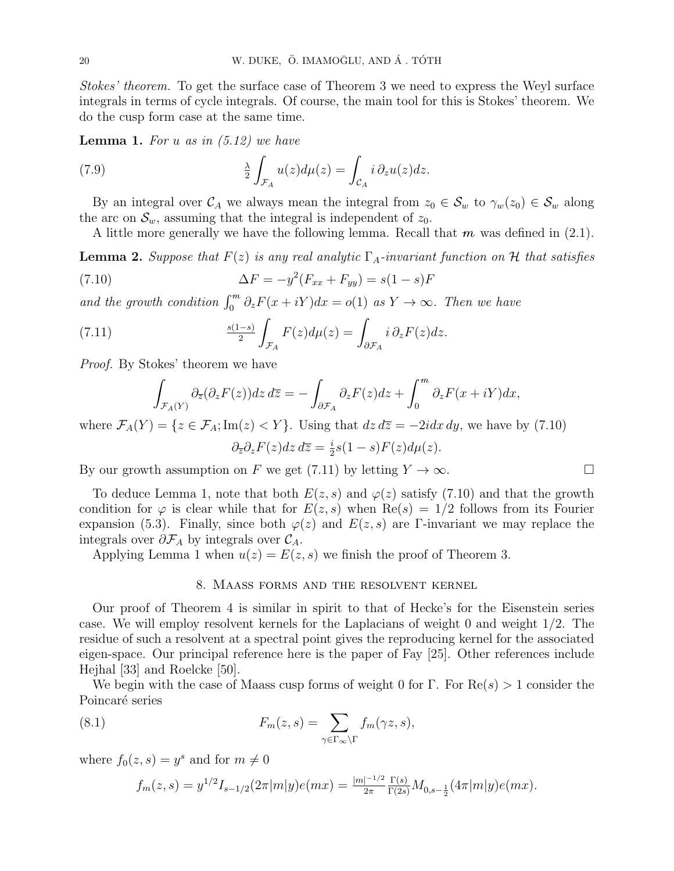Stokes' theorem. To get the surface case of Theorem 3 we need to express the Weyl surface integrals in terms of cycle integrals. Of course, the main tool for this is Stokes' theorem. We do the cusp form case at the same time.

**Lemma 1.** For u as in  $(5.12)$  we have

(7.9) 
$$
\frac{\lambda}{2} \int_{\mathcal{F}_A} u(z) d\mu(z) = \int_{\mathcal{C}_A} i \, \partial_z u(z) dz.
$$

By an integral over  $\mathcal{C}_A$  we always mean the integral from  $z_0 \in \mathcal{S}_w$  to  $\gamma_w(z_0) \in \mathcal{S}_w$  along the arc on  $\mathcal{S}_w$ , assuming that the integral is independent of  $z_0$ .

A little more generally we have the following lemma. Recall that  $m$  was defined in (2.1).

**Lemma 2.** Suppose that  $F(z)$  is any real analytic  $\Gamma_A$ -invariant function on H that satisfies

(7.10) 
$$
\Delta F = -y^2 (F_{xx} + F_{yy}) = s(1 - s)F
$$

and the growth condition  $\int_0^m \partial_z F(x+iY)dx = o(1)$  as  $Y \to \infty$ . Then we have

(7.11) 
$$
\frac{s(1-s)}{2} \int_{\mathcal{F}_A} F(z) d\mu(z) = \int_{\partial \mathcal{F}_A} i \, \partial_z F(z) dz.
$$

Proof. By Stokes' theorem we have

$$
\int_{\mathcal{F}_A(Y)} \partial_{\overline{z}} (\partial_z F(z)) dz d\overline{z} = - \int_{\partial \mathcal{F}_A} \partial_z F(z) dz + \int_0^m \partial_z F(x + iY) dx,
$$

where  $\mathcal{F}_A(Y) = \{z \in \mathcal{F}_A; \text{Im}(z) < Y\}$ . Using that  $dz d\overline{z} = -2idx dy$ , we have by (7.10)

$$
\partial_{\overline{z}} \partial_z F(z) dz d\overline{z} = \frac{i}{2} s(1-s)F(z) d\mu(z).
$$

By our growth assumption on F we get (7.11) by letting  $Y \to \infty$ .

To deduce Lemma 1, note that both  $E(z, s)$  and  $\varphi(z)$  satisfy (7.10) and that the growth condition for  $\varphi$  is clear while that for  $E(z, s)$  when  $\text{Re}(s) = 1/2$  follows from its Fourier expansion (5.3). Finally, since both  $\varphi(z)$  and  $E(z, s)$  are Γ-invariant we may replace the integrals over  $\partial \mathcal{F}_A$  by integrals over  $\mathcal{C}_A$ .

Applying Lemma 1 when  $u(z) = E(z, s)$  we finish the proof of Theorem 3.

## 8. Maass forms and the resolvent kernel

Our proof of Theorem 4 is similar in spirit to that of Hecke's for the Eisenstein series case. We will employ resolvent kernels for the Laplacians of weight 0 and weight 1/2. The residue of such a resolvent at a spectral point gives the reproducing kernel for the associated eigen-space. Our principal reference here is the paper of Fay [25]. Other references include Hejhal [33] and Roelcke [50].

We begin with the case of Maass cusp forms of weight 0 for Γ. For  $\text{Re}(s) > 1$  consider the Poincaré series

(8.1) 
$$
F_m(z,s) = \sum_{\gamma \in \Gamma_{\infty} \backslash \Gamma} f_m(\gamma z,s),
$$

where  $f_0(z, s) = y^s$  and for  $m \neq 0$ 

$$
f_m(z,s) = y^{1/2} I_{s-1/2}(2\pi |m|y)e(mx) = \frac{|m|^{-1/2}}{2\pi} \frac{\Gamma(s)}{\Gamma(2s)} M_{0,s-\frac{1}{2}}(4\pi |m|y)e(mx).
$$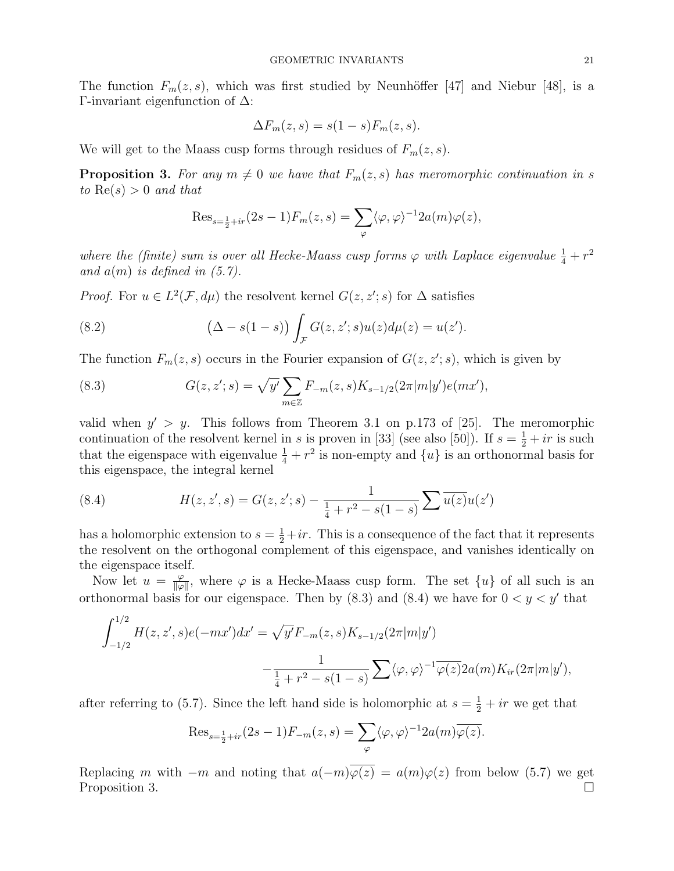The function  $F_m(z, s)$ , which was first studied by Neunhöffer [47] and Niebur [48], is a Γ-invariant eigenfunction of ∆:

$$
\Delta F_m(z,s) = s(1-s)F_m(z,s).
$$

We will get to the Maass cusp forms through residues of  $F_m(z, s)$ .

**Proposition 3.** For any  $m \neq 0$  we have that  $F_m(z, s)$  has meromorphic continuation in s to  $\text{Re}(s) > 0$  and that

$$
\operatorname{Res}_{s=\frac{1}{2}+ir}(2s-1)F_m(z,s)=\sum_{\varphi}\langle\varphi,\varphi\rangle^{-1}2a(m)\varphi(z),
$$

where the (finite) sum is over all Hecke-Maass cusp forms  $\varphi$  with Laplace eigenvalue  $\frac{1}{4} + r^2$ and  $a(m)$  is defined in  $(5.7)$ .

*Proof.* For  $u \in L^2(\mathcal{F}, d\mu)$  the resolvent kernel  $G(z, z'; s)$  for  $\Delta$  satisfies

(8.2) 
$$
(\Delta - s(1 - s)) \int_{\mathcal{F}} G(z, z'; s) u(z) d\mu(z) = u(z').
$$

The function  $F_m(z, s)$  occurs in the Fourier expansion of  $G(z, z'; s)$ , which is given by

(8.3) 
$$
G(z, z'; s) = \sqrt{y'} \sum_{m \in \mathbb{Z}} F_{-m}(z, s) K_{s-1/2}(2\pi |m|y') e(mx'),
$$

valid when  $y' > y$ . This follows from Theorem 3.1 on p.173 of [25]. The meromorphic continuation of the resolvent kernel in s is proven in [33] (see also [50]). If  $s = \frac{1}{2} + ir$  is such that the eigenspace with eigenvalue  $\frac{1}{4} + r^2$  is non-empty and  $\{u\}$  is an orthonormal basis for this eigenspace, the integral kernel

(8.4) 
$$
H(z, z', s) = G(z, z'; s) - \frac{1}{\frac{1}{4} + r^2 - s(1 - s)} \sum \overline{u(z)} u(z')
$$

has a holomorphic extension to  $s = \frac{1}{2} + ir$ . This is a consequence of the fact that it represents the resolvent on the orthogonal complement of this eigenspace, and vanishes identically on the eigenspace itself.

Now let  $u = \frac{\varphi}{\|\varphi\|}$  $\frac{\varphi}{\|\varphi\|}$ , where  $\varphi$  is a Hecke-Maass cusp form. The set  $\{u\}$  of all such is an orthonormal basis for our eigenspace. Then by  $(8.3)$  and  $(8.4)$  we have for  $0 < y < y'$  that

$$
\int_{-1/2}^{1/2} H(z, z', s) e(-mx') dx' = \sqrt{y'} F_{-m}(z, s) K_{s-1/2}(2\pi |m|y')
$$

$$
-\frac{1}{\frac{1}{4} + r^2 - s(1-s)} \sum_{\varphi} \langle \varphi, \varphi \rangle^{-1} \overline{\varphi(z)} 2a(m) K_{ir}(2\pi |m|y'),
$$

after referring to (5.7). Since the left hand side is holomorphic at  $s = \frac{1}{2} + ir$  we get that

$$
\text{Res}_{s=\frac{1}{2}+ir}(2s-1)F_{-m}(z,s)=\sum_{\varphi} \langle \varphi, \varphi \rangle^{-1} 2a(m)\overline{\varphi(z)}.
$$

Replacing m with  $-m$  and noting that  $a(-m)\overline{\varphi(z)} = a(m)\varphi(z)$  from below (5.7) we get Proposition 3.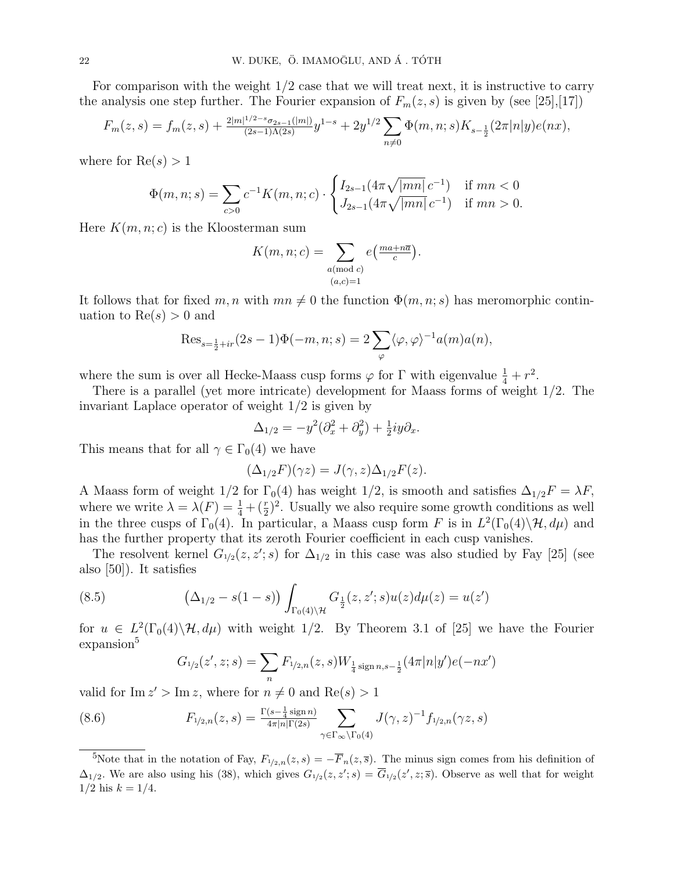For comparison with the weight  $1/2$  case that we will treat next, it is instructive to carry the analysis one step further. The Fourier expansion of  $F_m(z, s)$  is given by (see [25],[17])

$$
F_m(z,s) = f_m(z,s) + \frac{2|m|^{1/2 - s} \sigma_{2s-1}(|m|)}{(2s-1)\Lambda(2s)} y^{1-s} + 2y^{1/2} \sum_{n \neq 0} \Phi(m,n;s) K_{s-\frac{1}{2}}(2\pi |n|y) e(nx),
$$

where for  $Re(s) > 1$ 

$$
\Phi(m, n; s) = \sum_{c>0} c^{-1} K(m, n; c) \cdot \begin{cases} I_{2s-1}(4\pi \sqrt{|mn|} \, c^{-1}) & \text{if } mn < 0 \\ J_{2s-1}(4\pi \sqrt{|mn|} \, c^{-1}) & \text{if } mn > 0. \end{cases}
$$

Here  $K(m, n; c)$  is the Kloosterman sum

$$
K(m, n; c) = \sum_{\substack{a \pmod{c} \\ (a, c) = 1}} e\left(\frac{ma + n\overline{a}}{c}\right).
$$

It follows that for fixed  $m, n$  with  $mn \neq 0$  the function  $\Phi(m, n; s)$  has meromorphic continuation to  $Re(s) > 0$  and

$$
\text{Res}_{s=\frac{1}{2}+ir}(2s-1)\Phi(-m,n;s) = 2\sum_{\varphi} \langle \varphi, \varphi \rangle^{-1} a(m)a(n),
$$

where the sum is over all Hecke-Maass cusp forms  $\varphi$  for  $\Gamma$  with eigenvalue  $\frac{1}{4} + r^2$ .

There is a parallel (yet more intricate) development for Maass forms of weight 1/2. The invariant Laplace operator of weight 1/2 is given by

$$
\Delta_{1/2} = -y^2(\partial_x^2 + \partial_y^2) + \frac{1}{2}iy\partial_x.
$$

This means that for all  $\gamma \in \Gamma_0(4)$  we have

$$
(\Delta_{1/2}F)(\gamma z) = J(\gamma, z)\Delta_{1/2}F(z).
$$

A Maass form of weight 1/2 for  $\Gamma_0(4)$  has weight 1/2, is smooth and satisfies  $\Delta_{1/2}F = \lambda F$ , where we write  $\lambda = \lambda(F) = \frac{1}{4} + (\frac{r}{2})^2$ . Usually we also require some growth conditions as well in the three cusps of  $\Gamma_0(4)$ . In particular, a Maass cusp form F is in  $L^2(\Gamma_0(4)\setminus\mathcal{H}, d\mu)$  and has the further property that its zeroth Fourier coefficient in each cusp vanishes.

The resolvent kernel  $G_{1/2}(z, z'; s)$  for  $\Delta_{1/2}$  in this case was also studied by Fay [25] (see also [50]). It satisfies

(8.5) 
$$
\left(\Delta_{1/2} - s(1-s)\right) \int_{\Gamma_0(4)\backslash \mathcal{H}} G_{\frac{1}{2}}(z, z'; s) u(z) d\mu(z) = u(z')
$$

for  $u \in L^2(\Gamma_0(4)\backslash \mathcal{H}, d\mu)$  with weight 1/2. By Theorem 3.1 of [25] we have the Fourier expansion<sup>5</sup>

$$
G_{1/2}(z', z; s) = \sum_{n} F_{1/2,n}(z, s) W_{\frac{1}{4} \operatorname{sign} n, s - \frac{1}{2}}(4\pi |n|y') e(-nx')
$$

valid for  $\text{Im } z' > \text{Im } z$ , where for  $n \neq 0$  and  $\text{Re}(s) > 1$ 

(8.6) 
$$
F_{1/2,n}(z,s) = \frac{\Gamma(s - \frac{1}{4}\operatorname{sign} n)}{4\pi |n|\Gamma(2s)} \sum_{\gamma \in \Gamma_{\infty} \backslash \Gamma_0(4)} J(\gamma, z)^{-1} f_{1/2,n}(\gamma z, s)
$$

<sup>5</sup>Note that in the notation of Fay,  $F_{1/2,n}(z,s) = -\overline{F}_n(z,\overline{s})$ . The minus sign comes from his definition of  $\Delta_{1/2}$ . We are also using his (38), which gives  $G_{1/2}(z, z'; s) = \overline{G}_{1/2}(z', z; \overline{s})$ . Observe as well that for weight  $1/2$  his  $k = 1/4$ .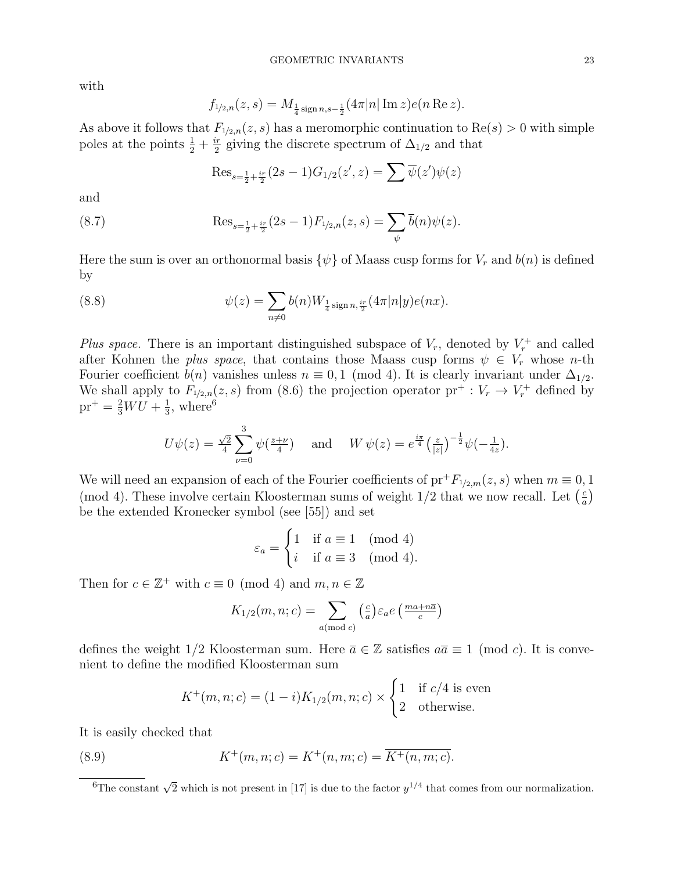with

$$
f_{1/2,n}(z,s) = M_{\frac{1}{4}\operatorname{sign} n,s-\frac{1}{2}}(4\pi |n| \operatorname{Im} z)e(n \operatorname{Re} z).
$$

As above it follows that  $F_{1/2,n}(z, s)$  has a meromorphic continuation to  $\text{Re}(s) > 0$  with simple poles at the points  $\frac{1}{2} + \frac{ir}{2}$  $\frac{dr}{2}$  giving the discrete spectrum of  $\Delta_{1/2}$  and that

$$
\text{Res}_{s=\frac{1}{2}+\frac{ir}{2}}(2s-1)G_{1/2}(z',z) = \sum \overline{\psi}(z')\psi(z)
$$

and

(8.7) 
$$
\operatorname{Res}_{s=\frac{1}{2}+\frac{ir}{2}}(2s-1)F_{1/2,n}(z,s)=\sum_{\psi}\overline{b}(n)\psi(z).
$$

Here the sum is over an orthonormal basis  $\{\psi\}$  of Maass cusp forms for  $V_r$  and  $b(n)$  is defined by

(8.8) 
$$
\psi(z) = \sum_{n \neq 0} b(n) W_{\frac{1}{4} \operatorname{sign} n, \frac{ir}{2}}(4\pi |n|y) e(nx).
$$

Plus space. There is an important distinguished subspace of  $V_r$ , denoted by  $V_r^+$  and called after Kohnen the plus space, that contains those Maass cusp forms  $\psi \in V_r$  whose n-th Fourier coefficient  $b(n)$  vanishes unless  $n \equiv 0, 1 \pmod{4}$ . It is clearly invariant under  $\Delta_{1/2}$ . We shall apply to  $F_{1/2,n}(z,s)$  from (8.6) the projection operator  ${\rm pr}^+ : V_r \to V_r^+$  defined by  $pr^+ = \frac{2}{3}WU + \frac{1}{3}$  $\frac{1}{3}$ , where<sup>6</sup>

$$
U\psi(z) = \frac{\sqrt{2}}{4} \sum_{\nu=0}^{3} \psi(\frac{z+\nu}{4}) \quad \text{and} \quad W\psi(z) = e^{\frac{i\pi}{4}} \left(\frac{z}{|z|}\right)^{-\frac{1}{2}} \psi(-\frac{1}{4z}).
$$

We will need an expansion of each of the Fourier coefficients of  $pr^+F_{1/2,m}(z, s)$  when  $m \equiv 0, 1$ (mod 4). These involve certain Kloosterman sums of weight  $1/2$  that we now recall. Let  $\left(\frac{c}{a}\right)$  $\frac{c}{a}$ be the extended Kronecker symbol (see [55]) and set

$$
\varepsilon_a = \begin{cases} 1 & \text{if } a \equiv 1 \pmod{4} \\ i & \text{if } a \equiv 3 \pmod{4}. \end{cases}
$$

Then for  $c \in \mathbb{Z}^+$  with  $c \equiv 0 \pmod{4}$  and  $m, n \in \mathbb{Z}$ 

$$
K_{1/2}(m, n; c) = \sum_{a \pmod{c}} \left(\frac{c}{a}\right) \varepsilon_a e \left(\frac{ma + n\overline{a}}{c}\right)
$$

defines the weight 1/2 Kloosterman sum. Here  $\overline{a} \in \mathbb{Z}$  satisfies  $a\overline{a} \equiv 1 \pmod{c}$ . It is convenient to define the modified Kloosterman sum

$$
K^+(m, n; c) = (1 - i)K_{1/2}(m, n; c) \times \begin{cases} 1 & \text{if } c/4 \text{ is even} \\ 2 & \text{otherwise.} \end{cases}
$$

It is easily checked that

(8.9) 
$$
K^+(m, n; c) = K^+(n, m; c) = \overline{K^+(n, m; c)}.
$$

 $\overline{^{6}$ The constant  $\sqrt{2}$  which is not present in [17] is due to the factor  $y^{1/4}$  that comes from our normalization.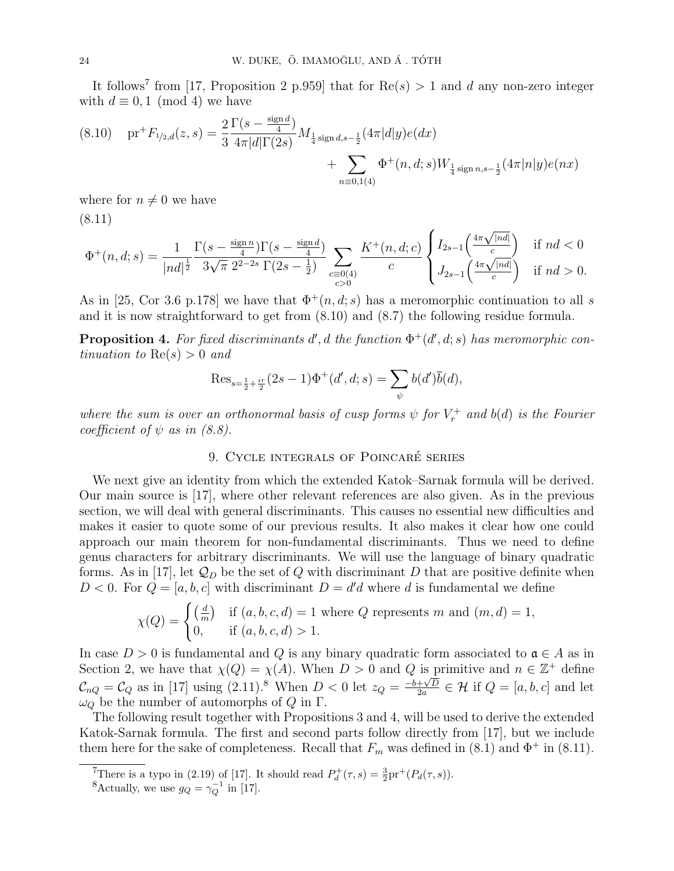It follows<sup>7</sup> from [17, Proposition 2 p.959] that for  $\text{Re}(s) > 1$  and d any non-zero integer with  $d \equiv 0, 1 \pmod{4}$  we have

$$
(8.10) \quad \text{pr}^+F_{1/2,d}(z,s) = \frac{2}{3} \frac{\Gamma(s - \frac{\text{sign }d}{4})}{4\pi |d|\Gamma(2s)} M_{\frac{1}{4}\text{sign }d,s-\frac{1}{2}}(4\pi |d|y)e(dx) + \sum_{n\equiv 0,1(4)} \Phi^+(n,d;s) W_{\frac{1}{4}\text{sign }n,s-\frac{1}{2}}(4\pi |n|y)e(nx)
$$

where for  $n \neq 0$  we have (8.11)

$$
\Phi^+(n,d;s) = \frac{1}{|nd|^{\frac{1}{2}}} \frac{\Gamma(s - \frac{\text{sign } n}{4}) \Gamma(s - \frac{\text{sign } d}{4})}{3\sqrt{\pi} 2^{2-2s} \Gamma(2s - \frac{1}{2})} \sum_{\substack{c \equiv 0(4) \\ c > 0}} \frac{K^+(n,d;c)}{c} \begin{cases} I_{2s-1}\left(\frac{4\pi\sqrt{|nd|}}{c}\right) & \text{if } nd < 0 \\ J_{2s-1}\left(\frac{4\pi\sqrt{|nd|}}{c}\right) & \text{if } nd > 0. \end{cases}
$$

As in [25, Cor 3.6 p.178] we have that  $\Phi^+(n, d; s)$  has a meromorphic continuation to all s and it is now straightforward to get from (8.10) and (8.7) the following residue formula.

**Proposition 4.** For fixed discriminants d', d the function  $\Phi^+(d', d; s)$  has meromorphic continuation to  $\text{Re}(s) > 0$  and

$$
\text{Res}_{s=\frac{1}{2}+\frac{ir}{2}}(2s-1)\Phi^+(d',d;s) = \sum_{\psi} b(d')\overline{b}(d),
$$

where the sum is over an orthonormal basis of cusp forms  $\psi$  for  $V_r^+$  and  $b(d)$  is the Fourier coefficient of  $\psi$  as in (8.8).

## 9. CYCLE INTEGRALS OF POINCARÉ SERIES

We next give an identity from which the extended Katok–Sarnak formula will be derived. Our main source is [17], where other relevant references are also given. As in the previous section, we will deal with general discriminants. This causes no essential new difficulties and makes it easier to quote some of our previous results. It also makes it clear how one could approach our main theorem for non-fundamental discriminants. Thus we need to define genus characters for arbitrary discriminants. We will use the language of binary quadratic forms. As in [17], let  $\mathcal{Q}_D$  be the set of Q with discriminant D that are positive definite when  $D < 0$ . For  $Q = [a, b, c]$  with discriminant  $D = d'd$  where d is fundamental we define

$$
\chi(Q) = \begin{cases} \left(\frac{d}{m}\right) & \text{if } (a, b, c, d) = 1 \text{ where } Q \text{ represents } m \text{ and } (m, d) = 1, \\ 0, & \text{if } (a, b, c, d) > 1. \end{cases}
$$

In case  $D > 0$  is fundamental and Q is any binary quadratic form associated to  $a \in A$  as in Section 2, we have that  $\chi(Q) = \chi(A)$ . When  $D > 0$  and Q is primitive and  $n \in \mathbb{Z}^+$  define  $\mathcal{C}_{nQ} = \mathcal{C}_Q$  as in [17] using (2.11).<sup>8</sup> When  $D < 0$  let  $z_Q = \frac{-b+\sqrt{D}}{2a}$  $\frac{+\sqrt{D}}{2a} \in \mathcal{H}$  if  $Q = [a, b, c]$  and let  $\omega_Q$  be the number of automorphs of Q in Γ.

The following result together with Propositions 3 and 4, will be used to derive the extended Katok-Sarnak formula. The first and second parts follow directly from [17], but we include them here for the sake of completeness. Recall that  $F_m$  was defined in (8.1) and  $\Phi^+$  in (8.11).

<sup>&</sup>lt;sup>7</sup>There is a typo in (2.19) of [17]. It should read  $P_d^+(\tau,s) = \frac{3}{2}pr^+(P_d(\tau,s))$ .

<sup>&</sup>lt;sup>8</sup>Actually, we use  $g_Q = \gamma_Q^{-1}$  in [17].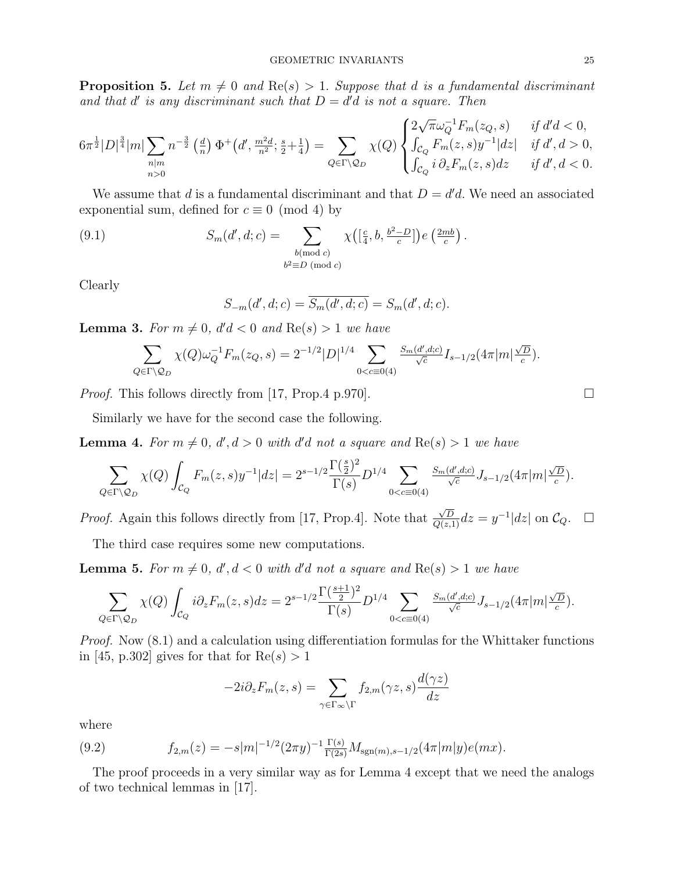**Proposition 5.** Let  $m \neq 0$  and  $Re(s) > 1$ . Suppose that d is a fundamental discriminant and that  $d'$  is any discriminant such that  $D = d'd$  is not a square. Then

$$
6\pi^{\frac{1}{2}}|D|^{\frac{3}{4}}|m|\sum_{\substack{n|m\\n>0}}n^{-\frac{3}{2}}\left(\frac{d}{n}\right)\Phi^+\left(d',\frac{m^2d}{n^2};\frac{s}{2}+\frac{1}{4}\right)=\sum_{Q\in\Gamma\backslash\mathcal{Q}_D}\chi(Q)\begin{cases}2\sqrt{\pi}\omega_Q^{-1}F_m(z_Q,s) & \text{if } d'd<0,\\ \int_{\mathcal{C}_Q}F_m(z,s)y^{-1}|dz| & \text{if } d',d>0,\\ \int_{\mathcal{C}_Q}i\,\partial_zF_m(z,s)dz & \text{if } d',d<0.\end{cases}
$$

We assume that d is a fundamental discriminant and that  $D = d'd$ . We need an associated exponential sum, defined for  $c \equiv 0 \pmod{4}$  by

(9.1) 
$$
S_m(d', d; c) = \sum_{\substack{b \pmod{c} \\ b^2 \equiv D \pmod{c}}} \chi\left(\left[\frac{c}{4}, b, \frac{b^2 - D}{c}\right]\right) e\left(\frac{2mb}{c}\right).
$$

Clearly

$$
S_{-m}(d', d; c) = \overline{S_m(d', d; c)} = S_m(d', d; c).
$$

**Lemma 3.** For  $m \neq 0$ ,  $d'd < 0$  and  $Re(s) > 1$  we have

$$
\sum_{Q \in \Gamma \backslash \mathcal{Q}_D} \chi(Q) \omega_Q^{-1} F_m(z_Q, s) = 2^{-1/2} |D|^{1/4} \sum_{0 < c \equiv 0(4)} \frac{S_m(d', d; c)}{\sqrt{c}} I_{s-1/2}(4\pi |m| \frac{\sqrt{D}}{c}).
$$

*Proof.* This follows directly from [17, Prop.4 p.970].  $\Box$ 

Similarly we have for the second case the following.

**Lemma 4.** For  $m \neq 0$ ,  $d', d > 0$  with d'd not a square and  $Re(s) > 1$  we have

$$
\sum_{Q \in \Gamma \backslash Q_D} \chi(Q) \int_{\mathcal{C}_Q} F_m(z,s) y^{-1} |dz| = 2^{s-1/2} \frac{\Gamma(\frac{s}{2})^2}{\Gamma(s)} D^{1/4} \sum_{0 < c \equiv 0(4)} \frac{S_m(d',d;c)}{\sqrt{c}} J_{s-1/2}(4\pi |m| \frac{\sqrt{D}}{c}).
$$

Proof. Again this follows directly from [17, Prop.4]. Note that  $\frac{\sqrt{D}}{Q(z,1)}dz = y^{-1}|dz|$  on  $\mathcal{C}_Q$ .  $\square$ 

The third case requires some new computations.

**Lemma 5.** For  $m \neq 0$ ,  $d', d < 0$  with d'd not a square and  $Re(s) > 1$  we have

$$
\sum_{Q \in \Gamma \backslash Q_D} \chi(Q) \int_{\mathcal{C}_Q} i \partial_z F_m(z,s) dz = 2^{s-1/2} \frac{\Gamma(\frac{s+1}{2})^2}{\Gamma(s)} D^{1/4} \sum_{0 < c \equiv 0 \text{(4)}} \frac{S_m(d',d;c)}{\sqrt{c}} J_{s-1/2}(4\pi |m| \frac{\sqrt{D}}{c}).
$$

Proof. Now (8.1) and a calculation using differentiation formulas for the Whittaker functions in [45, p.302] gives for that for  $Re(s) > 1$ 

$$
-2i\partial_z F_m(z,s) = \sum_{\gamma \in \Gamma_\infty \backslash \Gamma} f_{2,m}(\gamma z,s) \frac{d(\gamma z)}{dz}
$$

where

(9.2) 
$$
f_{2,m}(z) = -s|m|^{-1/2}(2\pi y)^{-1}\frac{\Gamma(s)}{\Gamma(2s)}M_{\text{sgn}(m),s-1/2}(4\pi|m|y)e(mx).
$$

The proof proceeds in a very similar way as for Lemma 4 except that we need the analogs of two technical lemmas in [17].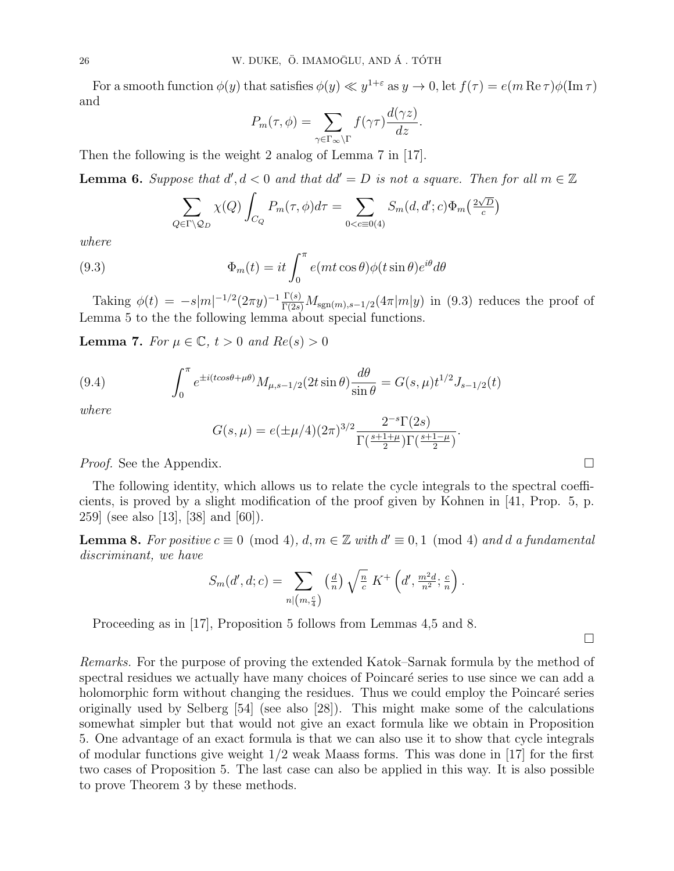For a smooth function  $\phi(y)$  that satisfies  $\phi(y) \ll y^{1+\varepsilon}$  as  $y \to 0$ , let  $f(\tau) = e(m \operatorname{Re} \tau) \phi(\operatorname{Im} \tau)$ and

$$
P_m(\tau,\phi) = \sum_{\gamma \in \Gamma_{\infty} \backslash \Gamma} f(\gamma \tau) \frac{d(\gamma z)}{dz}.
$$

Then the following is the weight 2 analog of Lemma 7 in [17].

**Lemma 6.** Suppose that  $d', d < 0$  and that  $dd' = D$  is not a square. Then for all  $m \in \mathbb{Z}$ 

$$
\sum_{Q \in \Gamma \backslash Q_D} \chi(Q) \int_{C_Q} P_m(\tau, \phi) d\tau = \sum_{0 < c \equiv 0 \land 4} S_m(d, d'; c) \Phi_m\left(\frac{2\sqrt{D}}{c}\right)
$$

where

(9.3) 
$$
\Phi_m(t) = it \int_0^{\pi} e(mt \cos \theta) \phi(t \sin \theta) e^{i\theta} d\theta
$$

Taking  $\phi(t) = -s|m|^{-1/2}(2\pi y)^{-1}\frac{\Gamma(s)}{\Gamma(2s)}M_{\text{sgn}(m),s-1/2}(4\pi|m|y)$  in (9.3) reduces the proof of Lemma 5 to the the following lemma about special functions.

**Lemma 7.** For  $\mu \in \mathbb{C}$ ,  $t > 0$  and  $Re(s) > 0$ 

(9.4) 
$$
\int_0^{\pi} e^{\pm i(t\cos\theta + \mu\theta)} M_{\mu, s-1/2}(2t\sin\theta) \frac{d\theta}{\sin\theta} = G(s, \mu) t^{1/2} J_{s-1/2}(t)
$$

where

$$
G(s,\mu) = e(\pm \mu/4)(2\pi)^{3/2} \frac{2^{-s} \Gamma(2s)}{\Gamma(\frac{s+1+\mu}{2}) \Gamma(\frac{s+1-\mu}{2})}.
$$

*Proof.* See the Appendix.  $\Box$ 

The following identity, which allows us to relate the cycle integrals to the spectral coefficients, is proved by a slight modification of the proof given by Kohnen in [41, Prop. 5, p. 259] (see also [13], [38] and [60]).

**Lemma 8.** For positive  $c \equiv 0 \pmod{4}$ ,  $d, m \in \mathbb{Z}$  with  $d' \equiv 0, 1 \pmod{4}$  and d a fundamental discriminant, we have

$$
S_m(d',d;c) = \sum_{n|(m,\frac{c}{4})} \left(\frac{d}{n}\right) \sqrt{\frac{n}{c}} K^+ \left(d',\frac{m^2d}{n^2};\frac{c}{n}\right).
$$

Proceeding as in [17], Proposition 5 follows from Lemmas 4,5 and 8.

 $\Box$ 

Remarks. For the purpose of proving the extended Katok–Sarnak formula by the method of spectral residues we actually have many choices of Poincaré series to use since we can add a holomorphic form without changing the residues. Thus we could employ the Poincaré series originally used by Selberg [54] (see also [28]). This might make some of the calculations somewhat simpler but that would not give an exact formula like we obtain in Proposition 5. One advantage of an exact formula is that we can also use it to show that cycle integrals of modular functions give weight  $1/2$  weak Maass forms. This was done in [17] for the first two cases of Proposition 5. The last case can also be applied in this way. It is also possible to prove Theorem 3 by these methods.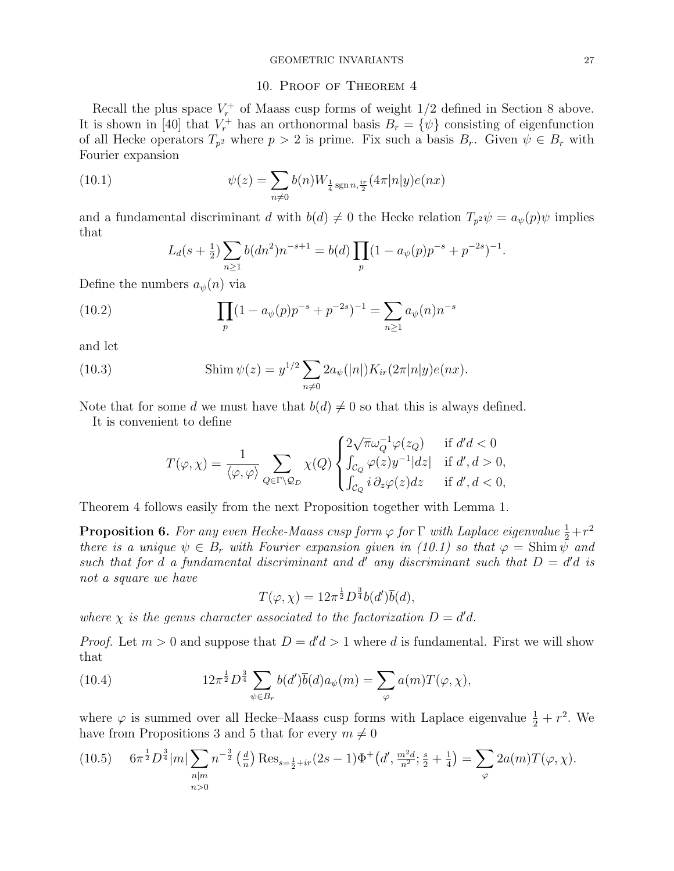## 10. Proof of Theorem 4

Recall the plus space  $V_r^+$  of Maass cusp forms of weight  $1/2$  defined in Section 8 above. It is shown in [40] that  $V_r^+$  has an orthonormal basis  $B_r = {\psi}$  consisting of eigenfunction of all Hecke operators  $T_{p^2}$  where  $p > 2$  is prime. Fix such a basis  $B_r$ . Given  $\psi \in B_r$  with Fourier expansion

(10.1) 
$$
\psi(z) = \sum_{n \neq 0} b(n) W_{\frac{1}{4} \operatorname{sgn} n, \frac{ir}{2}}(4\pi |n|y) e(nx)
$$

and a fundamental discriminant d with  $b(d) \neq 0$  the Hecke relation  $T_{p^2}\psi = a_{\psi}(p)\psi$  implies that

$$
L_d(s+\tfrac{1}{2})\sum_{n\geq 1} b(dn^2)n^{-s+1} = b(d)\prod_p (1-a_{\psi}(p)p^{-s}+p^{-2s})^{-1}.
$$

Define the numbers  $a_{\psi}(n)$  via

(10.2) 
$$
\prod_{p} (1 - a_{\psi}(p)p^{-s} + p^{-2s})^{-1} = \sum_{n \ge 1} a_{\psi}(n)n^{-s}
$$

and let

(10.3) 
$$
\text{Shim}\,\psi(z) = y^{1/2} \sum_{n \neq 0} 2a_{\psi}(|n|) K_{ir}(2\pi |n|y)e(nx).
$$

Note that for some d we must have that  $b(d) \neq 0$  so that this is always defined.

It is convenient to define

$$
T(\varphi,\chi)=\frac{1}{\langle\varphi,\varphi\rangle}\sum_{Q\in\Gamma\backslash\mathcal{Q}_D}\chi(Q)\begin{cases}2\sqrt{\pi}\omega_Q^{-1}\varphi(z_Q) & \text{if }d'd<0\\ \int_{\mathcal{C}_Q}\varphi(z)y^{-1}|dz| & \text{if }d',d>0,\\ \int_{\mathcal{C}_Q}i\,\partial_z\varphi(z)dz & \text{if }d',d<0,\end{cases}
$$

Theorem 4 follows easily from the next Proposition together with Lemma 1.

**Proposition 6.** For any even Hecke-Maass cusp form  $\varphi$  for  $\Gamma$  with Laplace eigenvalue  $\frac{1}{2} + r^2$ there is a unique  $\psi \in B_r$  with Fourier expansion given in (10.1) so that  $\varphi = \text{Shim } \psi$  and such that for d a fundamental discriminant and d' any discriminant such that  $D = d'd$  is not a square we have

$$
T(\varphi, \chi) = 12\pi^{\frac{1}{2}} D^{\frac{3}{4}} b(d') \overline{b}(d),
$$

where  $\chi$  is the genus character associated to the factorization  $D = d'd$ .

*Proof.* Let  $m > 0$  and suppose that  $D = d'd > 1$  where d is fundamental. First we will show that

(10.4) 
$$
12\pi^{\frac{1}{2}}D^{\frac{3}{4}}\sum_{\psi\in B_r}b(d')\overline{b}(d)a_{\psi}(m)=\sum_{\varphi}a(m)T(\varphi,\chi),
$$

where  $\varphi$  is summed over all Hecke–Maass cusp forms with Laplace eigenvalue  $\frac{1}{2} + r^2$ . We have from Propositions 3 and 5 that for every  $m \neq 0$ 

$$
(10.5) \quad 6\pi^{\frac{1}{2}}D^{\frac{3}{4}}|m|\sum_{\substack{n|m\\n>0}}n^{-\frac{3}{2}}\left(\frac{d}{n}\right)\operatorname{Res}_{s=\frac{1}{2}+ir}(2s-1)\Phi^+\left(d',\frac{m^2d}{n^2};\frac{s}{2}+\frac{1}{4}\right)=\sum_{\varphi}2a(m)T(\varphi,\chi).
$$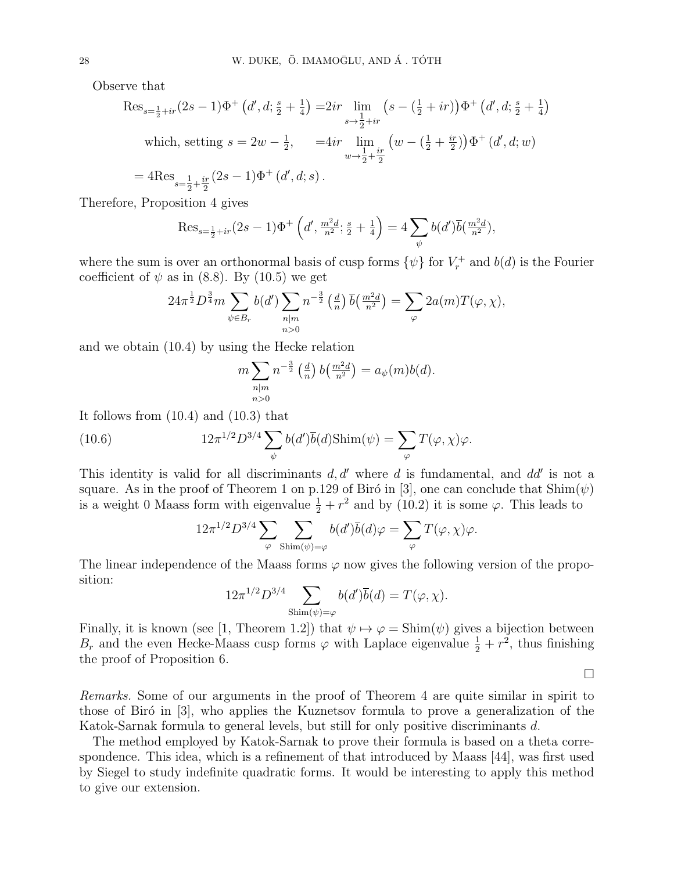Observe that

$$
\operatorname{Res}_{s=\frac{1}{2}+ir}(2s-1)\Phi^+\left(d',d;\frac{s}{2}+\frac{1}{4}\right) = 2ir \lim_{s\to\frac{1}{2}+ir} \left(s - (\frac{1}{2}+ir)\right)\Phi^+\left(d',d;\frac{s}{2}+\frac{1}{4}\right)
$$
\nwhich, setting  $s = 2w - \frac{1}{2}$ ,  $= 4ir \lim_{w\to\frac{1}{2}+\frac{ir}{2}} \left(w - (\frac{1}{2}+\frac{ir}{2})\right)\Phi^+\left(d',d;w\right)$ \n $= 4\operatorname{Res}_{s=\frac{1}{2}+\frac{ir}{2}}(2s-1)\Phi^+\left(d',d;s\right).$ 

Therefore, Proposition 4 gives

$$
\text{Res}_{s=\frac{1}{2}+ir}(2s-1)\Phi^+\left(d',\frac{m^2d}{n^2};\frac{s}{2}+\frac{1}{4}\right)=4\sum_{\psi}b(d')\overline{b}(\frac{m^2d}{n^2}),
$$

where the sum is over an orthonormal basis of cusp forms  $\{\psi\}$  for  $V_r^+$  and  $b(d)$  is the Fourier coefficient of  $\psi$  as in (8.8). By (10.5) we get

$$
24\pi^{\frac{1}{2}}D^{\frac{3}{4}}m\sum_{\psi\in B_r}b(d')\sum_{\substack{n|m\\n>0}}n^{-\frac{3}{2}}\left(\frac{d}{n}\right)\overline{b}\left(\frac{m^2d}{n^2}\right)=\sum_{\varphi}2a(m)T(\varphi,\chi),
$$

and we obtain (10.4) by using the Hecke relation

2

$$
m\sum_{\substack{n|m\\n>0}}n^{-\frac{3}{2}}\left(\frac{d}{n}\right)b\left(\frac{m^2d}{n^2}\right)=a_{\psi}(m)b(d).
$$

It follows from (10.4) and (10.3) that

(10.6) 
$$
12\pi^{1/2}D^{3/4}\sum_{\psi}b(d')\overline{b}(d)\text{Shim}(\psi)=\sum_{\varphi}T(\varphi,\chi)\varphi.
$$

This identity is valid for all discriminants  $d, d'$  where d is fundamental, and  $dd'$  is not a square. As in the proof of Theorem 1 on p.129 of Biró in [3], one can conclude that  $\text{Shim}(\psi)$ is a weight 0 Maass form with eigenvalue  $\frac{1}{2} + r^2$  and by (10.2) it is some  $\varphi$ . This leads to

$$
12\pi^{1/2}D^{3/4}\sum_{\varphi}\sum_{\text{Shim}(\psi)=\varphi}b(d')\overline{b}(d)\varphi=\sum_{\varphi}T(\varphi,\chi)\varphi.
$$

The linear independence of the Maass forms  $\varphi$  now gives the following version of the proposition:

$$
12\pi^{1/2}D^{3/4}\sum_{\text{Shim}(\psi)=\varphi}b(d')\overline{b}(d)=T(\varphi,\chi).
$$

Finally, it is known (see [1, Theorem 1.2]) that  $\psi \mapsto \varphi = \text{Shim}(\psi)$  gives a bijection between  $B_r$  and the even Hecke-Maass cusp forms  $\varphi$  with Laplace eigenvalue  $\frac{1}{2} + r^2$ , thus finishing the proof of Proposition 6.

 $\Box$ 

Remarks. Some of our arguments in the proof of Theorem 4 are quite similar in spirit to those of Biró in  $[3]$ , who applies the Kuznetsov formula to prove a generalization of the Katok-Sarnak formula to general levels, but still for only positive discriminants d.

The method employed by Katok-Sarnak to prove their formula is based on a theta correspondence. This idea, which is a refinement of that introduced by Maass [44], was first used by Siegel to study indefinite quadratic forms. It would be interesting to apply this method to give our extension.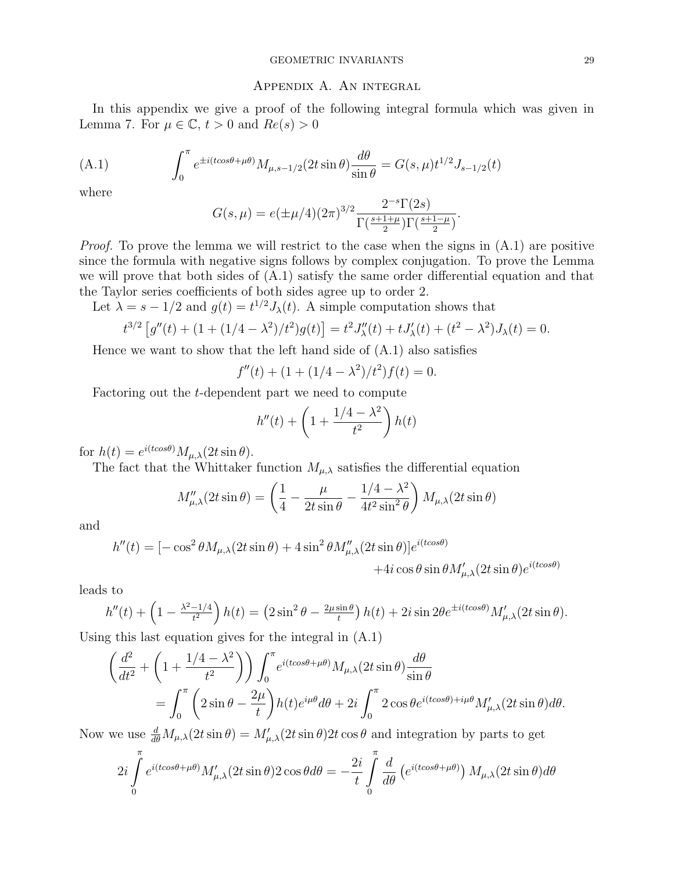#### Appendix A. An integral

In this appendix we give a proof of the following integral formula which was given in Lemma 7. For  $\mu \in \mathbb{C}$ ,  $t > 0$  and  $Re(s) > 0$ 

(A.1) 
$$
\int_0^{\pi} e^{\pm i(t\cos\theta + \mu\theta)} M_{\mu,s-1/2}(2t\sin\theta) \frac{d\theta}{\sin\theta} = G(s,\mu)t^{1/2} J_{s-1/2}(t)
$$

where

$$
G(s,\mu) = e(\pm \mu/4)(2\pi)^{3/2} \frac{2^{-s} \Gamma(2s)}{\Gamma(\frac{s+1+\mu}{2}) \Gamma(\frac{s+1-\mu}{2})}
$$

.

*Proof.* To prove the lemma we will restrict to the case when the signs in  $(A.1)$  are positive since the formula with negative signs follows by complex conjugation. To prove the Lemma we will prove that both sides of (A.1) satisfy the same order differential equation and that the Taylor series coefficients of both sides agree up to order 2.

Let  $\lambda = s - 1/2$  and  $g(t) = t^{1/2} J_{\lambda}(t)$ . A simple computation shows that

$$
t^{3/2} [g''(t) + (1 + (1/4 - \lambda^2)/t^2)g(t)] = t^2 J''_{\lambda}(t) + t J'_{\lambda}(t) + (t^2 - \lambda^2) J_{\lambda}(t) = 0.
$$

Hence we want to show that the left hand side of  $(A.1)$  also satisfies

 $f''(t) + (1 + (1/4 - \lambda^2)/t^2) f(t) = 0.$ 

Factoring out the t-dependent part we need to compute

$$
h''(t) + \left(1 + \frac{1/4 - \lambda^2}{t^2}\right)h(t)
$$

for  $h(t) = e^{i(t\cos\theta)} M_{\mu,\lambda}(2t\sin\theta)$ .

The fact that the Whittaker function  $M_{\mu,\lambda}$  satisfies the differential equation

$$
M''_{\mu,\lambda}(2t\sin\theta) = \left(\frac{1}{4} - \frac{\mu}{2t\sin\theta} - \frac{1/4 - \lambda^2}{4t^2\sin^2\theta}\right)M_{\mu,\lambda}(2t\sin\theta)
$$

and

$$
h''(t) = [-\cos^2 \theta M_{\mu,\lambda}(2t \sin \theta) + 4 \sin^2 \theta M_{\mu,\lambda}''(2t \sin \theta)]e^{i(t \cos \theta)}
$$

$$
+ 4i \cos \theta \sin \theta M_{\mu,\lambda}'(2t \sin \theta)e^{i(t \cos \theta)}
$$

leads to

$$
h''(t) + \left(1 - \frac{\lambda^2 - 1/4}{t^2}\right)h(t) = \left(2\sin^2\theta - \frac{2\mu\sin\theta}{t}\right)h(t) + 2i\sin 2\theta e^{\pm i(t\cos\theta)}M'_{\mu,\lambda}(2t\sin\theta).
$$

Using this last equation gives for the integral in (A.1)

$$
\begin{split} \left(\frac{d^2}{dt^2} + \left(1 + \frac{1/4 - \lambda^2}{t^2}\right)\right) \int_0^\pi e^{i(t\cos\theta + \mu\theta)} M_{\mu,\lambda}(2t\sin\theta) \frac{d\theta}{\sin\theta} \\ & = \int_0^\pi \left(2\sin\theta - \frac{2\mu}{t}\right) h(t) e^{i\mu\theta} d\theta + 2i \int_0^\pi 2\cos\theta e^{i(t\cos\theta) + i\mu\theta} M'_{\mu,\lambda}(2t\sin\theta) d\theta. \end{split}
$$

Now we use  $\frac{d}{d\theta}M_{\mu,\lambda}(2t\sin\theta) = M'_{\mu,\lambda}(2t\sin\theta)2t\cos\theta$  and integration by parts to get

$$
2i\int_{0}^{\pi} e^{i(t\cos\theta + \mu\theta)} M'_{\mu,\lambda}(2t\sin\theta) 2\cos\theta d\theta = -\frac{2i}{t} \int_{0}^{\pi} \frac{d}{d\theta} \left(e^{i(t\cos\theta + \mu\theta)}\right) M_{\mu,\lambda}(2t\sin\theta) d\theta
$$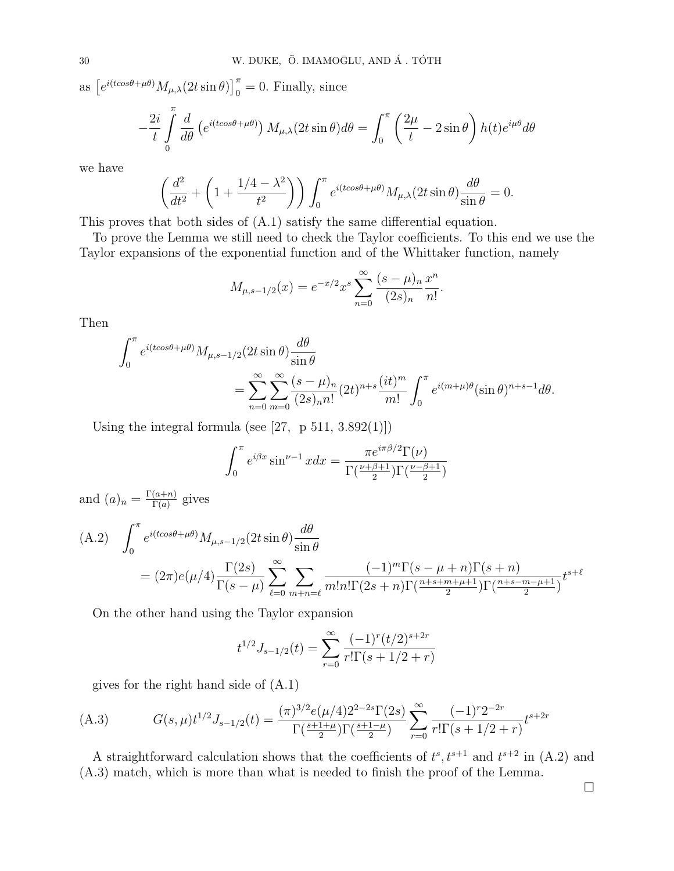as  $\left[e^{i(t\cos\theta+\mu\theta)}M_{\mu,\lambda}(2t\sin\theta)\right]_0^{\pi} = 0$ . Finally, since

$$
-\frac{2i}{t}\int_{0}^{\pi}\frac{d}{d\theta}\left(e^{i(t\cos\theta+\mu\theta)}\right)M_{\mu,\lambda}(2t\sin\theta)d\theta = \int_{0}^{\pi}\left(\frac{2\mu}{t}-2\sin\theta\right)h(t)e^{i\mu\theta}d\theta
$$

we have

$$
\left(\frac{d^2}{dt^2} + \left(1 + \frac{1/4 - \lambda^2}{t^2}\right)\right) \int_0^\pi e^{i(t\cos\theta + \mu\theta)} M_{\mu,\lambda}(2t\sin\theta) \frac{d\theta}{\sin\theta} = 0.
$$

This proves that both sides of (A.1) satisfy the same differential equation.

To prove the Lemma we still need to check the Taylor coefficients. To this end we use the Taylor expansions of the exponential function and of the Whittaker function, namely

$$
M_{\mu,s-1/2}(x) = e^{-x/2} x^s \sum_{n=0}^{\infty} \frac{(s-\mu)_n}{(2s)_n} \frac{x^n}{n!}.
$$

Then

$$
\int_0^\pi e^{i(t\cos\theta + \mu\theta)} M_{\mu,s-1/2} (2t\sin\theta) \frac{d\theta}{\sin\theta}
$$
  
= 
$$
\sum_{n=0}^\infty \sum_{m=0}^\infty \frac{(s-\mu)_n}{(2s)_n n!} (2t)^{n+s} \frac{(it)^m}{m!} \int_0^\pi e^{i(m+\mu)\theta} (\sin\theta)^{n+s-1} d\theta.
$$

Using the integral formula (see [27, p 511,  $3.892(1)$ ])

$$
\int_0^{\pi} e^{i\beta x} \sin^{\nu-1} x dx = \frac{\pi e^{i\pi \beta/2} \Gamma(\nu)}{\Gamma(\frac{\nu+\beta+1}{2}) \Gamma(\frac{\nu-\beta+1}{2})}
$$

and  $(a)_n = \frac{\Gamma(a+n)}{\Gamma(a)}$  $\frac{(a+n)}{\Gamma(a)}$  gives

(A.2) 
$$
\int_0^{\pi} e^{i(t\cos\theta + \mu\theta)} M_{\mu,s-1/2} (2t\sin\theta) \frac{d\theta}{\sin\theta}
$$
  
=  $(2\pi)e(\mu/4) \frac{\Gamma(2s)}{\Gamma(s-\mu)} \sum_{\ell=0}^{\infty} \sum_{m+n=\ell} \frac{(-1)^m \Gamma(s-\mu+n) \Gamma(s+n)}{m! n! \Gamma(2s+n) \Gamma(\frac{n+s+m+\mu+1}{2}) \Gamma(\frac{n+s-m-\mu+1}{2})} t^{s+\ell}$ 

On the other hand using the Taylor expansion

$$
t^{1/2}J_{s-1/2}(t) = \sum_{r=0}^{\infty} \frac{(-1)^r (t/2)^{s+2r}}{r!\Gamma(s+1/2+r)}
$$

gives for the right hand side of (A.1)

(A.3) 
$$
G(s,\mu)t^{1/2}J_{s-1/2}(t) = \frac{(\pi)^{3/2}e(\mu/4)2^{2-2s}\Gamma(2s)}{\Gamma(\frac{s+1+\mu}{2})\Gamma(\frac{s+1-\mu}{2})} \sum_{r=0}^{\infty} \frac{(-1)^r 2^{-2r}}{r!\Gamma(s+1/2+r)} t^{s+2r}
$$

A straightforward calculation shows that the coefficients of  $t^s, t^{s+1}$  and  $t^{s+2}$  in (A.2) and (A.3) match, which is more than what is needed to finish the proof of the Lemma.

 $\Box$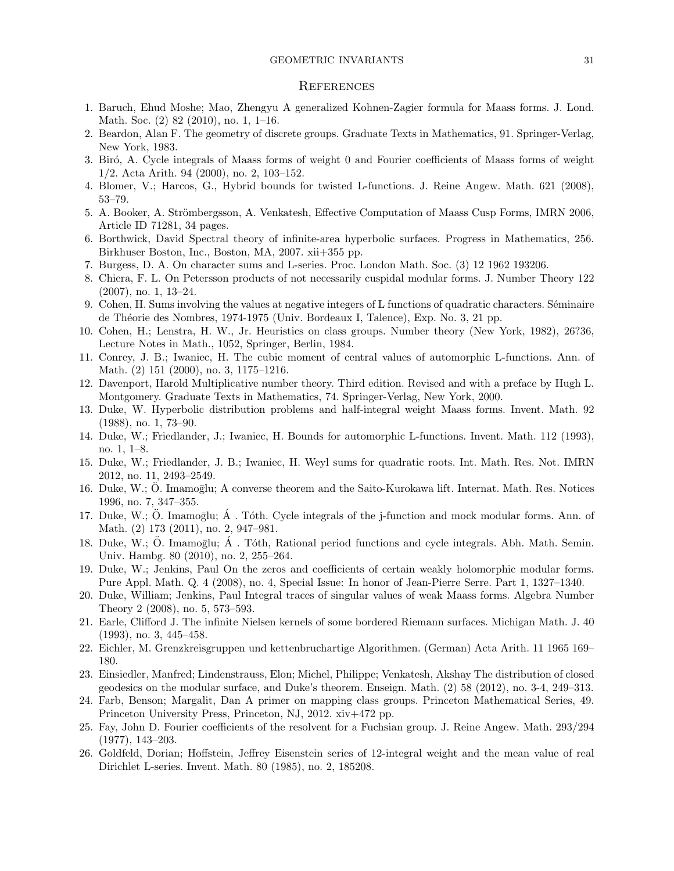#### GEOMETRIC INVARIANTS 31

#### **REFERENCES**

- 1. Baruch, Ehud Moshe; Mao, Zhengyu A generalized Kohnen-Zagier formula for Maass forms. J. Lond. Math. Soc. (2) 82 (2010), no. 1, 1–16.
- 2. Beardon, Alan F. The geometry of discrete groups. Graduate Texts in Mathematics, 91. Springer-Verlag, New York, 1983.
- 3. Bir´o, A. Cycle integrals of Maass forms of weight 0 and Fourier coefficients of Maass forms of weight 1/2. Acta Arith. 94 (2000), no. 2, 103–152.
- 4. Blomer, V.; Harcos, G., Hybrid bounds for twisted L-functions. J. Reine Angew. Math. 621 (2008), 53–79.
- 5. A. Booker, A. Strömbergsson, A. Venkatesh, Effective Computation of Maass Cusp Forms, IMRN 2006, Article ID 71281, 34 pages.
- 6. Borthwick, David Spectral theory of infinite-area hyperbolic surfaces. Progress in Mathematics, 256. Birkhuser Boston, Inc., Boston, MA, 2007. xii+355 pp.
- 7. Burgess, D. A. On character sums and L-series. Proc. London Math. Soc. (3) 12 1962 193206.
- 8. Chiera, F. L. On Petersson products of not necessarily cuspidal modular forms. J. Number Theory 122 (2007), no. 1, 13–24.
- 9. Cohen, H. Sums involving the values at negative integers of L functions of quadratic characters. Séminaire de Th´eorie des Nombres, 1974-1975 (Univ. Bordeaux I, Talence), Exp. No. 3, 21 pp.
- 10. Cohen, H.; Lenstra, H. W., Jr. Heuristics on class groups. Number theory (New York, 1982), 26?36, Lecture Notes in Math., 1052, Springer, Berlin, 1984.
- 11. Conrey, J. B.; Iwaniec, H. The cubic moment of central values of automorphic L-functions. Ann. of Math. (2) 151 (2000), no. 3, 1175–1216.
- 12. Davenport, Harold Multiplicative number theory. Third edition. Revised and with a preface by Hugh L. Montgomery. Graduate Texts in Mathematics, 74. Springer-Verlag, New York, 2000.
- 13. Duke, W. Hyperbolic distribution problems and half-integral weight Maass forms. Invent. Math. 92 (1988), no. 1, 73–90.
- 14. Duke, W.; Friedlander, J.; Iwaniec, H. Bounds for automorphic L-functions. Invent. Math. 112 (1993), no. 1, 1–8.
- 15. Duke, W.; Friedlander, J. B.; Iwaniec, H. Weyl sums for quadratic roots. Int. Math. Res. Not. IMRN 2012, no. 11, 2493–2549.
- 16. Duke, W.; O. Imamoglu; A converse theorem and the Saito-Kurokawa lift. Internat. Math. Res. Notices 1996, no. 7, 347–355.
- 17. Duke, W.; O. Imamoglu;  $\dot{A}$ . Tóth. Cycle integrals of the j-function and mock modular forms. Ann. of Math. (2) 173 (2011), no. 2, 947–981.
- 18. Duke, W.; Ö. Imamoğlu;  $\dot{A}$ . Tóth, Rational period functions and cycle integrals. Abh. Math. Semin. Univ. Hambg. 80 (2010), no. 2, 255–264.
- 19. Duke, W.; Jenkins, Paul On the zeros and coefficients of certain weakly holomorphic modular forms. Pure Appl. Math. Q. 4 (2008), no. 4, Special Issue: In honor of Jean-Pierre Serre. Part 1, 1327–1340.
- 20. Duke, William; Jenkins, Paul Integral traces of singular values of weak Maass forms. Algebra Number Theory 2 (2008), no. 5, 573–593.
- 21. Earle, Clifford J. The infinite Nielsen kernels of some bordered Riemann surfaces. Michigan Math. J. 40 (1993), no. 3, 445–458.
- 22. Eichler, M. Grenzkreisgruppen und kettenbruchartige Algorithmen. (German) Acta Arith. 11 1965 169– 180.
- 23. Einsiedler, Manfred; Lindenstrauss, Elon; Michel, Philippe; Venkatesh, Akshay The distribution of closed geodesics on the modular surface, and Duke's theorem. Enseign. Math. (2) 58 (2012), no. 3-4, 249–313.
- 24. Farb, Benson; Margalit, Dan A primer on mapping class groups. Princeton Mathematical Series, 49. Princeton University Press, Princeton, NJ, 2012. xiv+472 pp.
- 25. Fay, John D. Fourier coefficients of the resolvent for a Fuchsian group. J. Reine Angew. Math. 293/294 (1977), 143–203.
- 26. Goldfeld, Dorian; Hoffstein, Jeffrey Eisenstein series of 12-integral weight and the mean value of real Dirichlet L-series. Invent. Math. 80 (1985), no. 2, 185208.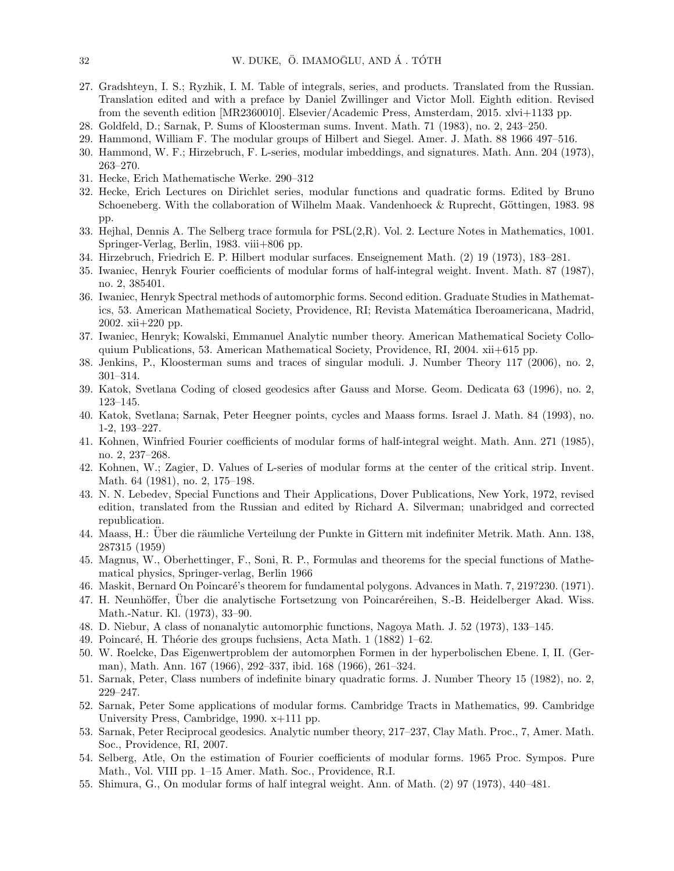- 27. Gradshteyn, I. S.; Ryzhik, I. M. Table of integrals, series, and products. Translated from the Russian. Translation edited and with a preface by Daniel Zwillinger and Victor Moll. Eighth edition. Revised from the seventh edition [MR2360010]. Elsevier/Academic Press, Amsterdam, 2015. xlvi+1133 pp.
- 28. Goldfeld, D.; Sarnak, P. Sums of Kloosterman sums. Invent. Math. 71 (1983), no. 2, 243–250.
- 29. Hammond, William F. The modular groups of Hilbert and Siegel. Amer. J. Math. 88 1966 497–516.
- 30. Hammond, W. F.; Hirzebruch, F. L-series, modular imbeddings, and signatures. Math. Ann. 204 (1973), 263–270.
- 31. Hecke, Erich Mathematische Werke. 290–312
- 32. Hecke, Erich Lectures on Dirichlet series, modular functions and quadratic forms. Edited by Bruno Schoeneberg. With the collaboration of Wilhelm Maak. Vandenhoeck & Ruprecht, Göttingen, 1983. 98 pp.
- 33. Hejhal, Dennis A. The Selberg trace formula for PSL(2,R). Vol. 2. Lecture Notes in Mathematics, 1001. Springer-Verlag, Berlin, 1983. viii+806 pp.
- 34. Hirzebruch, Friedrich E. P. Hilbert modular surfaces. Enseignement Math. (2) 19 (1973), 183–281.
- 35. Iwaniec, Henryk Fourier coefficients of modular forms of half-integral weight. Invent. Math. 87 (1987), no. 2, 385401.
- 36. Iwaniec, Henryk Spectral methods of automorphic forms. Second edition. Graduate Studies in Mathematics, 53. American Mathematical Society, Providence, RI; Revista Matemática Iberoamericana, Madrid, 2002. xii+220 pp.
- 37. Iwaniec, Henryk; Kowalski, Emmanuel Analytic number theory. American Mathematical Society Colloquium Publications, 53. American Mathematical Society, Providence, RI, 2004. xii+615 pp.
- 38. Jenkins, P., Kloosterman sums and traces of singular moduli. J. Number Theory 117 (2006), no. 2, 301–314.
- 39. Katok, Svetlana Coding of closed geodesics after Gauss and Morse. Geom. Dedicata 63 (1996), no. 2, 123–145.
- 40. Katok, Svetlana; Sarnak, Peter Heegner points, cycles and Maass forms. Israel J. Math. 84 (1993), no. 1-2, 193–227.
- 41. Kohnen, Winfried Fourier coefficients of modular forms of half-integral weight. Math. Ann. 271 (1985), no. 2, 237–268.
- 42. Kohnen, W.; Zagier, D. Values of L-series of modular forms at the center of the critical strip. Invent. Math. 64 (1981), no. 2, 175–198.
- 43. N. N. Lebedev, Special Functions and Their Applications, Dover Publications, New York, 1972, revised edition, translated from the Russian and edited by Richard A. Silverman; unabridged and corrected republication.
- 44. Maass, H.: Uber die räumliche Verteilung der Punkte in Gittern mit indefiniter Metrik. Math. Ann. 138, 287315 (1959)
- 45. Magnus, W., Oberhettinger, F., Soni, R. P., Formulas and theorems for the special functions of Mathematical physics, Springer-verlag, Berlin 1966
- 46. Maskit, Bernard On Poincaré's theorem for fundamental polygons. Advances in Math. 7, 219?230. (1971).
- 47. H. Neunhöffer, Uber die analytische Fortsetzung von Poincaréreihen, S.-B. Heidelberger Akad. Wiss. Math.-Natur. Kl. (1973), 33–90.
- 48. D. Niebur, A class of nonanalytic automorphic functions, Nagoya Math. J. 52 (1973), 133–145.
- 49. Poincaré, H. Théorie des groups fuchsiens, Acta Math. 1 (1882) 1–62.
- 50. W. Roelcke, Das Eigenwertproblem der automorphen Formen in der hyperbolischen Ebene. I, II. (German), Math. Ann. 167 (1966), 292–337, ibid. 168 (1966), 261–324.
- 51. Sarnak, Peter, Class numbers of indefinite binary quadratic forms. J. Number Theory 15 (1982), no. 2, 229–247.
- 52. Sarnak, Peter Some applications of modular forms. Cambridge Tracts in Mathematics, 99. Cambridge University Press, Cambridge, 1990. x+111 pp.
- 53. Sarnak, Peter Reciprocal geodesics. Analytic number theory, 217–237, Clay Math. Proc., 7, Amer. Math. Soc., Providence, RI, 2007.
- 54. Selberg, Atle, On the estimation of Fourier coefficients of modular forms. 1965 Proc. Sympos. Pure Math., Vol. VIII pp. 1–15 Amer. Math. Soc., Providence, R.I.
- 55. Shimura, G., On modular forms of half integral weight. Ann. of Math. (2) 97 (1973), 440–481.